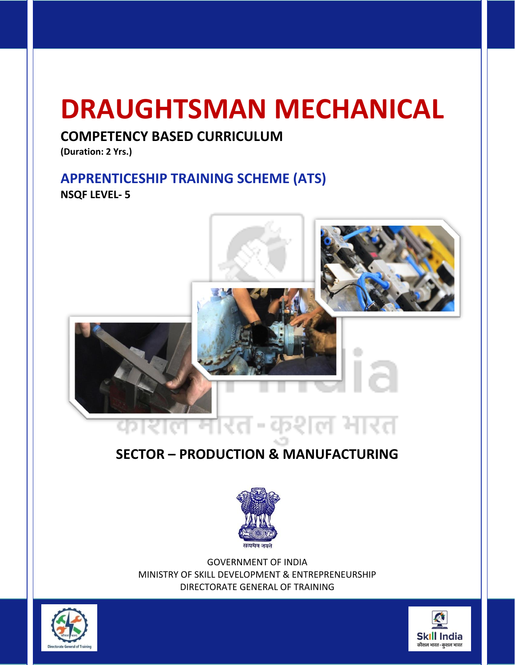# **DRAUGHTSMAN MECHANICAL**

### **COMPETENCY BASED CURRICULUM**

**(Duration: 2 Yrs.)**

# **APPRENTICESHIP TRAINING SCHEME (ATS)**

**NSQF LEVEL- 5**



# **SECTOR – PRODUCTION & MANUFACTURING**



GOVERNMENT OF INDIA MINISTRY OF SKILL DEVELOPMENT & ENTREPRENEURSHIP DIRECTORATE GENERAL OF TRAINING



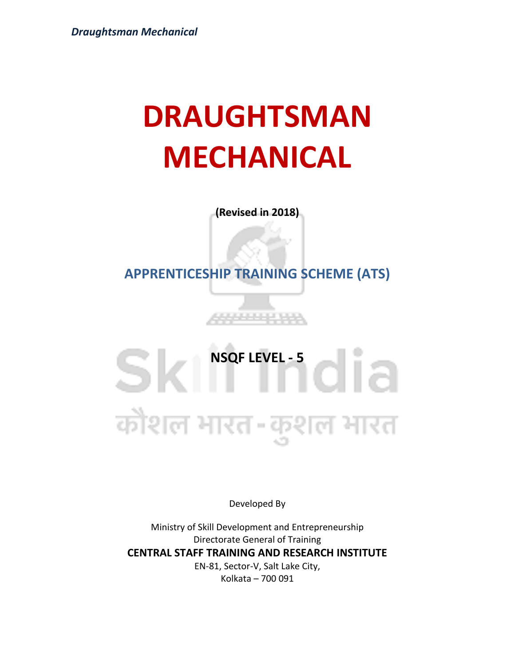# **DRAUGHTSMAN MECHANICAL**

**(Revised in 2018)**

**APPRENTICESHIP TRAINING SCHEME (ATS)**

**JANA 2014** 

SIMPROPRIEVEL -5 कौशल भारत-कुशल भारत

Developed By

Ministry of Skill Development and Entrepreneurship Directorate General of Training **CENTRAL STAFF TRAINING AND RESEARCH INSTITUTE** EN-81, Sector-V, Salt Lake City, Kolkata – 700 091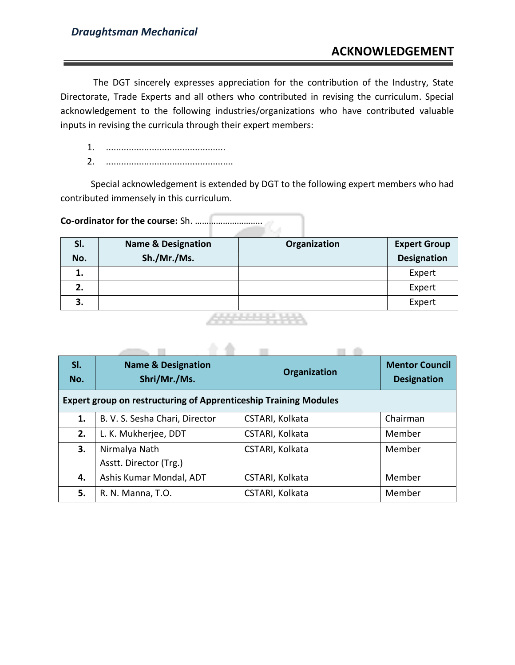### **ACKNOWLEDGEMENT**

The DGT sincerely expresses appreciation for the contribution of the Industry, State Directorate, Trade Experts and all others who contributed in revising the curriculum. Special acknowledgement to the following industries/organizations who have contributed valuable inputs in revising the curricula through their expert members:

- 1. ...............................................
- 2. ..................................................

Special acknowledgement is extended by DGT to the following expert members who had contributed immensely in this curriculum.

**Co-ordinator for the course:** Sh. ………………………..

| SI.<br>No. | <b>Name &amp; Designation</b><br>Sh./Mr./Ms. | Organization | <b>Expert Group</b><br><b>Designation</b> |
|------------|----------------------------------------------|--------------|-------------------------------------------|
| 1.         |                                              |              | Expert                                    |
| 2.         |                                              |              | Expert                                    |
| 3.         |                                              |              | Expert                                    |
|            |                                              | ------------ |                                           |

\_\_\_\_\_\_\_\_\_\_\_\_\_

. .

| SI.<br>No. | <b>Name &amp; Designation</b><br>Shri/Mr./Ms.                           | <b>Organization</b> | <b>Mentor Council</b><br><b>Designation</b> |
|------------|-------------------------------------------------------------------------|---------------------|---------------------------------------------|
|            | <b>Expert group on restructuring of Apprenticeship Training Modules</b> |                     |                                             |
| 1.         | B. V. S. Sesha Chari, Director                                          | CSTARI, Kolkata     | Chairman                                    |
| 2.         | L. K. Mukherjee, DDT                                                    | CSTARI, Kolkata     | Member                                      |
| 3.         | Nirmalya Nath                                                           | CSTARI, Kolkata     | Member                                      |
|            | Asstt. Director (Trg.)                                                  |                     |                                             |
| 4.         | Ashis Kumar Mondal, ADT                                                 | CSTARI, Kolkata     | Member                                      |
| 5.         | R. N. Manna, T.O.                                                       | CSTARI, Kolkata     | Member                                      |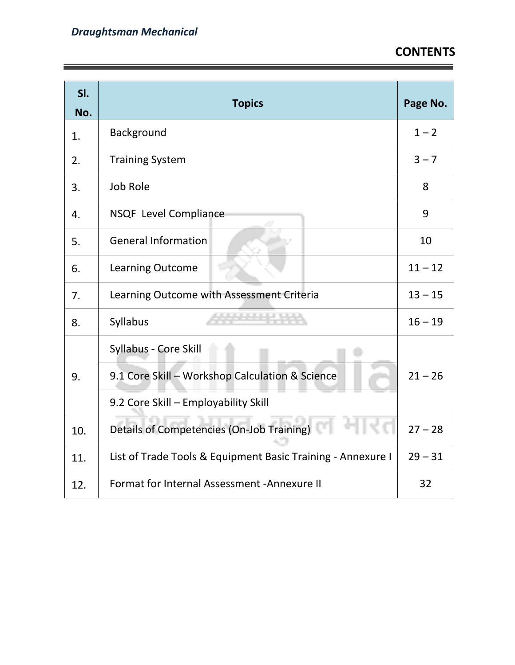Ē,

| SI.<br>No. | <b>Topics</b>                                                                                                    | Page No.  |
|------------|------------------------------------------------------------------------------------------------------------------|-----------|
| 1.         | Background                                                                                                       | $1 - 2$   |
| 2.         | <b>Training System</b>                                                                                           | $3 - 7$   |
| 3.         | <b>Job Role</b>                                                                                                  | 8         |
| 4.         | NSQF Level Compliance                                                                                            | 9         |
| 5.         | <b>General Information</b>                                                                                       | 10        |
| 6.         | <b>Learning Outcome</b>                                                                                          | $11 - 12$ |
| 7.         | Learning Outcome with Assessment Criteria                                                                        | $13 - 15$ |
| 8.         | <b>Syllabus</b>                                                                                                  | $16 - 19$ |
| 9.         | Syllabus - Core Skill<br>9.1 Core Skill - Workshop Calculation & Science<br>9.2 Core Skill - Employability Skill |           |
| 10.        | Details of Competencies (On-Job Training)                                                                        |           |
| 11.        | List of Trade Tools & Equipment Basic Training - Annexure I                                                      | $29 - 31$ |
| 12.        | Format for Internal Assessment - Annexure II                                                                     |           |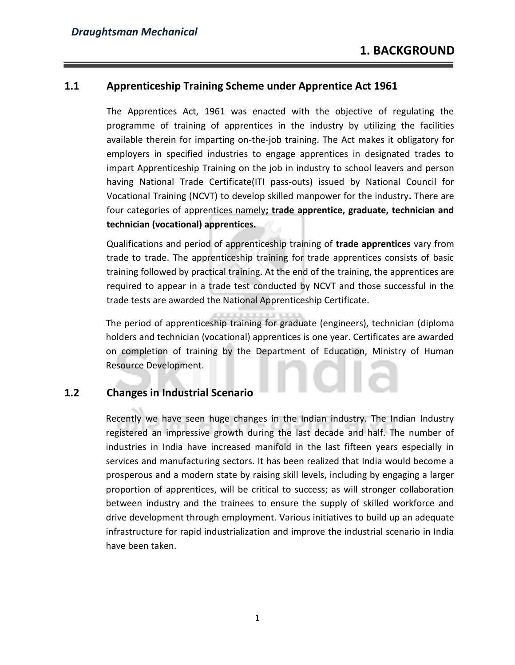#### **1.1 Apprenticeship Training Scheme under Apprentice Act 1961**

The Apprentices Act, 1961 was enacted with the objective of regulating the programme of training of apprentices in the industry by utilizing the facilities available therein for imparting on-the-job training. The Act makes it obligatory for employers in specified industries to engage apprentices in designated trades to impart Apprenticeship Training on the job in industry to school leavers and person having National Trade Certificate(ITI pass-outs) issued by National Council for Vocational Training (NCVT) to develop skilled manpower for the industry**.** There are four categories of apprentices namely**; trade apprentice, graduate, technician and technician (vocational) apprentices.** 

Qualifications and period of apprenticeship training of **trade apprentices** vary from trade to trade. The apprenticeship training for trade apprentices consists of basic training followed by practical training. At the end of the training, the apprentices are required to appear in a trade test conducted by NCVT and those successful in the trade tests are awarded the National Apprenticeship Certificate.

The period of apprenticeship training for graduate (engineers), technician (diploma holders and technician (vocational) apprentices is one year. Certificates are awarded on completion of training by the Department of Education, Ministry of Human Resource Development.

#### **1.2 Changes in Industrial Scenario**

Recently we have seen huge changes in the Indian industry. The Indian Industry registered an impressive growth during the last decade and half. The number of industries in India have increased manifold in the last fifteen years especially in services and manufacturing sectors. It has been realized that India would become a prosperous and a modern state by raising skill levels, including by engaging a larger proportion of apprentices, will be critical to success; as will stronger collaboration between industry and the trainees to ensure the supply of skilled workforce and drive development through employment. Various initiatives to build up an adequate infrastructure for rapid industrialization and improve the industrial scenario in India have been taken.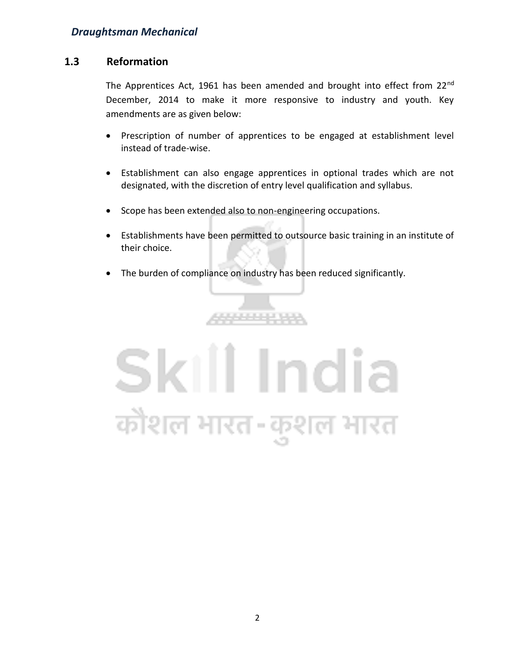#### **1.3 Reformation**

The Apprentices Act, 1961 has been amended and brought into effect from 22<sup>nd</sup> December, 2014 to make it more responsive to industry and youth. Key amendments are as given below:

- Prescription of number of apprentices to be engaged at establishment level instead of trade-wise.
- Establishment can also engage apprentices in optional trades which are not designated, with the discretion of entry level qualification and syllabus.
- Scope has been extended also to non-engineering occupations.
- Establishments have been permitted to outsource basic training in an institute of their choice.
- The burden of compliance on industry has been reduced significantly.

**. . . . . . . . . .** 

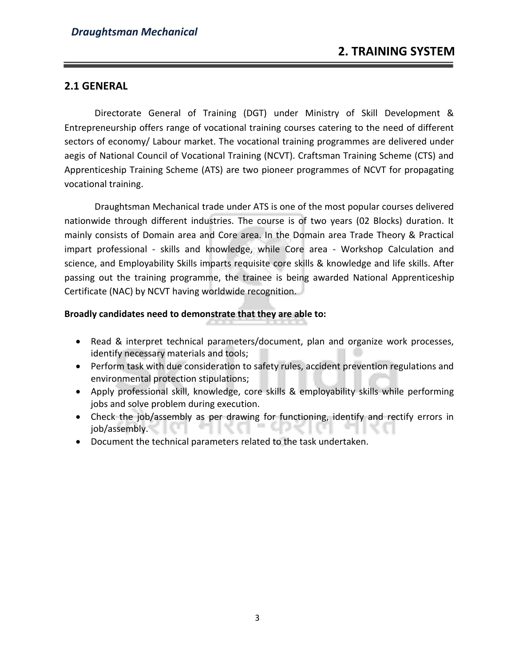#### **2.1 GENERAL**

Directorate General of Training (DGT) under Ministry of Skill Development & Entrepreneurship offers range of vocational training courses catering to the need of different sectors of economy/ Labour market. The vocational training programmes are delivered under aegis of National Council of Vocational Training (NCVT). Craftsman Training Scheme (CTS) and Apprenticeship Training Scheme (ATS) are two pioneer programmes of NCVT for propagating vocational training.

Draughtsman Mechanical trade under ATS is one of the most popular courses delivered nationwide through different industries. The course is of two years (02 Blocks) duration. It mainly consists of Domain area and Core area. In the Domain area Trade Theory & Practical impart professional - skills and knowledge, while Core area - Workshop Calculation and science, and Employability Skills imparts requisite core skills & knowledge and life skills. After passing out the training programme, the trainee is being awarded National Apprenticeship Certificate (NAC) by NCVT having worldwide recognition.

#### **Broadly candidates need to demonstrate that they are able to:**

- Read & interpret technical parameters/document, plan and organize work processes, identify necessary materials and tools;
- Perform task with due consideration to safety rules, accident prevention regulations and environmental protection stipulations;
- Apply professional skill, knowledge, core skills & employability skills while performing jobs and solve problem during execution.
- Check the job/assembly as per drawing for functioning, identify and rectify errors in job/assembly.
- Document the technical parameters related to the task undertaken.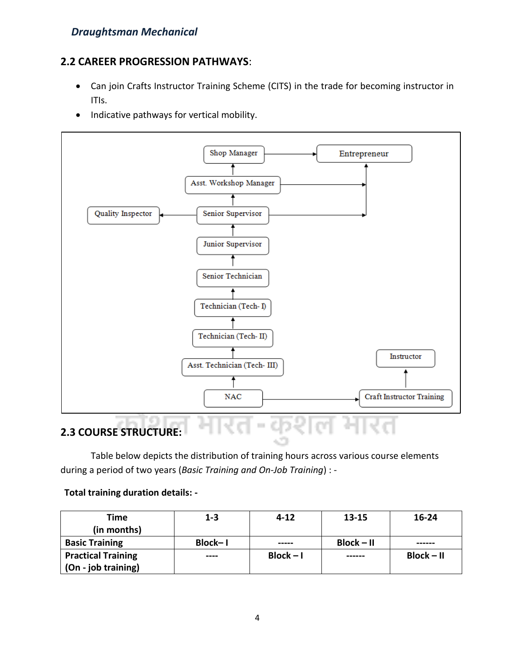#### **2.2 CAREER PROGRESSION PATHWAYS**:

- Can join Crafts Instructor Training Scheme (CITS) in the trade for becoming instructor in ITIs.
- Indicative pathways for vertical mobility.



Table below depicts the distribution of training hours across various course elements during a period of two years (*Basic Training and On-Job Training*) : -

#### **Total training duration details: -**

| <b>Time</b>               | $1 - 3$ | $4 - 12$    | 13-15        | $16 - 24$    |
|---------------------------|---------|-------------|--------------|--------------|
| (in months)               |         |             |              |              |
| <b>Basic Training</b>     | Block-I | -----       | $Block - II$ | ------       |
| <b>Practical Training</b> | ----    | $Block - I$ | ------       | $Block - II$ |
| (On - job training)       |         |             |              |              |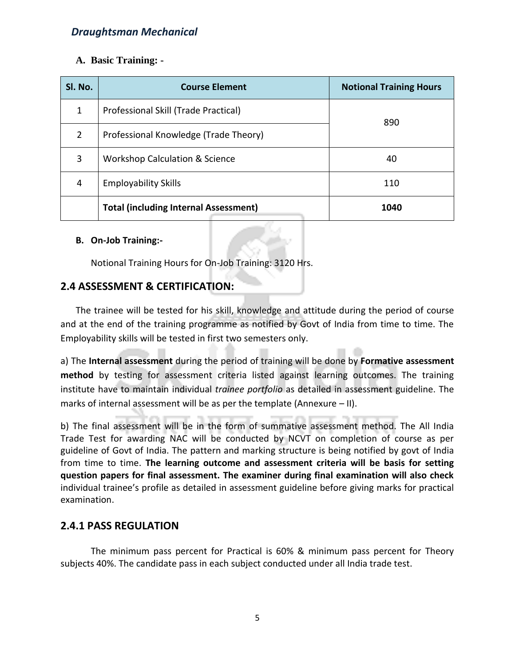#### **A. Basic Training: -**

| SI. No.       | <b>Course Element</b>                        | <b>Notional Training Hours</b> |
|---------------|----------------------------------------------|--------------------------------|
| 1             | Professional Skill (Trade Practical)<br>890  |                                |
| $\mathcal{P}$ | Professional Knowledge (Trade Theory)        |                                |
| 3             | <b>Workshop Calculation &amp; Science</b>    | 40                             |
| 4             | <b>Employability Skills</b>                  | 110                            |
|               | <b>Total (including Internal Assessment)</b> | 1040                           |

#### **B. On-Job Training:-**

Notional Training Hours for On-Job Training: 3120 Hrs.

#### **2.4 ASSESSMENT & CERTIFICATION:**

The trainee will be tested for his skill, knowledge and attitude during the period of course and at the end of the training programme as notified by Govt of India from time to time. The Employability skills will be tested in first two semesters only.

a) The **Internal assessment** during the period of training will be done by **Formative assessment method** by testing for assessment criteria listed against learning outcomes. The training institute have to maintain individual *trainee portfolio* as detailed in assessment guideline. The marks of internal assessment will be as per the template (Annexure – II).

b) The final assessment will be in the form of summative assessment method. The All India Trade Test for awarding NAC will be conducted by NCVT on completion of course as per guideline of Govt of India. The pattern and marking structure is being notified by govt of India from time to time. **The learning outcome and assessment criteria will be basis for setting question papers for final assessment. The examiner during final examination will also check** individual trainee's profile as detailed in assessment guideline before giving marks for practical examination.

#### **2.4.1 PASS REGULATION**

The minimum pass percent for Practical is 60% & minimum pass percent for Theory subjects 40%. The candidate pass in each subject conducted under all India trade test.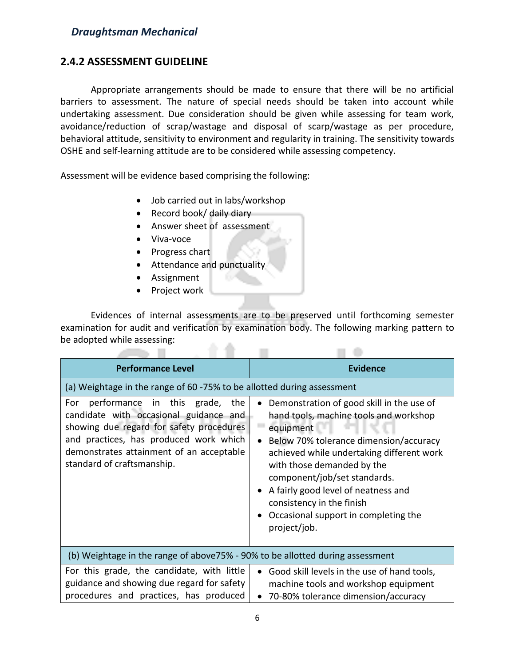#### **2.4.2 ASSESSMENT GUIDELINE**

Appropriate arrangements should be made to ensure that there will be no artificial barriers to assessment. The nature of special needs should be taken into account while undertaking assessment. Due consideration should be given while assessing for team work, avoidance/reduction of scrap/wastage and disposal of scarp/wastage as per procedure, behavioral attitude, sensitivity to environment and regularity in training. The sensitivity towards OSHE and self-learning attitude are to be considered while assessing competency.

Assessment will be evidence based comprising the following:

- Job carried out in labs/workshop
- Record book/ daily diary
- Answer sheet of assessment
- Viva-voce
- Progress chart
- Attendance and punctuality
- Assignment
- Project work

**All The Toronto** 

Evidences of internal assessments are to be preserved until forthcoming semester examination for audit and verification by examination body. The following marking pattern to be adopted while assessing: . .

m.

m dia

| <b>Performance Level</b>                                                                                                                                                                                                                           | <b>Evidence</b>                                                                                                                                                                                                                                                                                                                                                                                |  |  |  |  |
|----------------------------------------------------------------------------------------------------------------------------------------------------------------------------------------------------------------------------------------------------|------------------------------------------------------------------------------------------------------------------------------------------------------------------------------------------------------------------------------------------------------------------------------------------------------------------------------------------------------------------------------------------------|--|--|--|--|
| (a) Weightage in the range of 60 -75% to be allotted during assessment                                                                                                                                                                             |                                                                                                                                                                                                                                                                                                                                                                                                |  |  |  |  |
| performance in this grade,<br>For<br>the<br>candidate with occasional guidance and<br>showing due regard for safety procedures<br>and practices, has produced work which<br>demonstrates attainment of an acceptable<br>standard of craftsmanship. | Demonstration of good skill in the use of<br>hand tools, machine tools and workshop<br>equipment<br>Below 70% tolerance dimension/accuracy<br>achieved while undertaking different work<br>with those demanded by the<br>component/job/set standards.<br>A fairly good level of neatness and<br>$\bullet$<br>consistency in the finish<br>Occasional support in completing the<br>project/job. |  |  |  |  |
| (b) Weightage in the range of above 75% - 90% to be allotted during assessment                                                                                                                                                                     |                                                                                                                                                                                                                                                                                                                                                                                                |  |  |  |  |
| For this grade, the candidate, with little<br>guidance and showing due regard for safety<br>procedures and practices, has produced                                                                                                                 | Good skill levels in the use of hand tools,<br>$\bullet$<br>machine tools and workshop equipment<br>70-80% tolerance dimension/accuracy                                                                                                                                                                                                                                                        |  |  |  |  |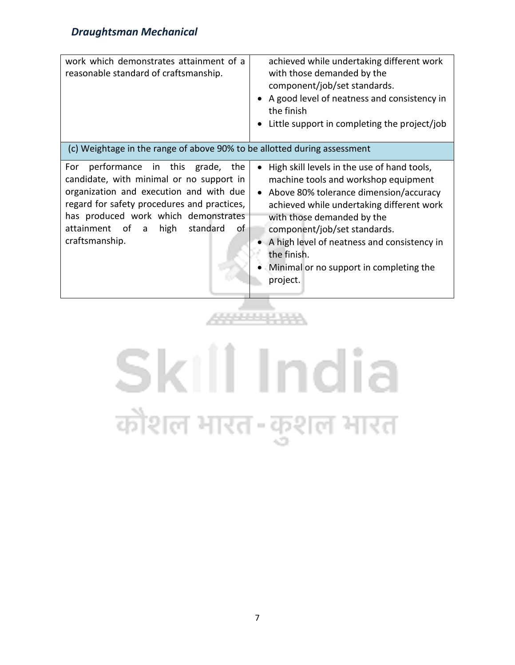| work which demonstrates attainment of a<br>reasonable standard of craftsmanship.                                                                                                                                                                                                                                                                | achieved while undertaking different work<br>with those demanded by the<br>component/job/set standards.<br>A good level of neatness and consistency in<br>the finish<br>Little support in completing the project/job                     |
|-------------------------------------------------------------------------------------------------------------------------------------------------------------------------------------------------------------------------------------------------------------------------------------------------------------------------------------------------|------------------------------------------------------------------------------------------------------------------------------------------------------------------------------------------------------------------------------------------|
| (c) Weightage in the range of above 90% to be allotted during assessment<br>performance in this grade,<br>the<br>For<br>candidate, with minimal or no support in<br>organization and execution and with due<br>regard for safety procedures and practices,<br>has produced work which demonstrates<br>attainment of a<br>high<br>standard<br>οf | High skill levels in the use of hand tools,<br>machine tools and workshop equipment<br>Above 80% tolerance dimension/accuracy<br>achieved while undertaking different work<br>with those demanded by the<br>component/job/set standards. |
| craftsmanship.                                                                                                                                                                                                                                                                                                                                  | A high level of neatness and consistency in<br>the finish.<br>Minimal or no support in completing the<br>project.                                                                                                                        |

# Skill India कोशल भारत-कुशल भारत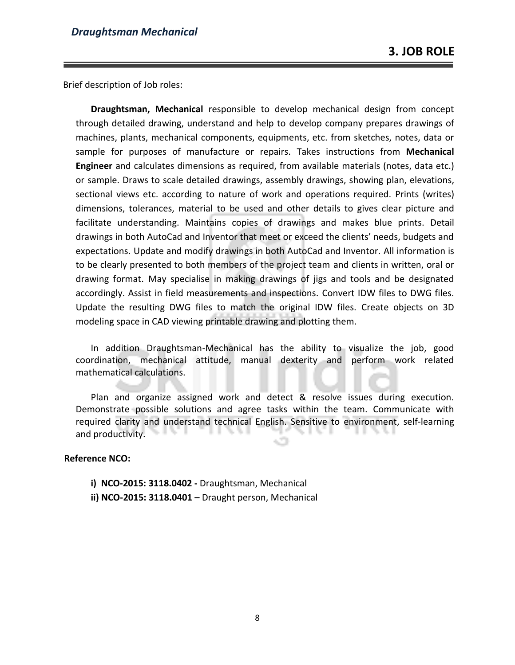Brief description of Job roles:

**Draughtsman, Mechanical** responsible to develop mechanical design from concept through detailed drawing, understand and help to develop company prepares drawings of machines, plants, mechanical components, equipments, etc. from sketches, notes, data or sample for purposes of manufacture or repairs. Takes instructions from **Mechanical Engineer** and calculates dimensions as required, from available materials (notes, data etc.) or sample. Draws to scale detailed drawings, assembly drawings, showing plan, elevations, sectional views etc. according to nature of work and operations required. Prints (writes) dimensions, tolerances, material to be used and other details to gives clear picture and facilitate understanding. Maintains copies of drawings and makes blue prints. Detail drawings in both AutoCad and Inventor that meet or exceed the clients' needs, budgets and expectations. Update and modify drawings in both AutoCad and Inventor. All information is to be clearly presented to both members of the project team and clients in written, oral or drawing format. May specialise in making drawings of jigs and tools and be designated accordingly. Assist in field measurements and inspections. Convert IDW files to DWG files. Update the resulting DWG files to match the original IDW files. Create objects on 3D modeling space in CAD viewing printable drawing and plotting them.

In addition Draughtsman-Mechanical has the ability to visualize the job, good coordination, mechanical attitude, manual dexterity and perform work related mathematical calculations.

Plan and organize assigned work and detect & resolve issues during execution. Demonstrate possible solutions and agree tasks within the team. Communicate with required clarity and understand technical English. Sensitive to environment, self-learning and productivity.

#### **Reference NCO:**

- **i) NCO-2015: 3118.0402 -** Draughtsman, Mechanical
- **ii) NCO-2015: 3118.0401 –** Draught person, Mechanical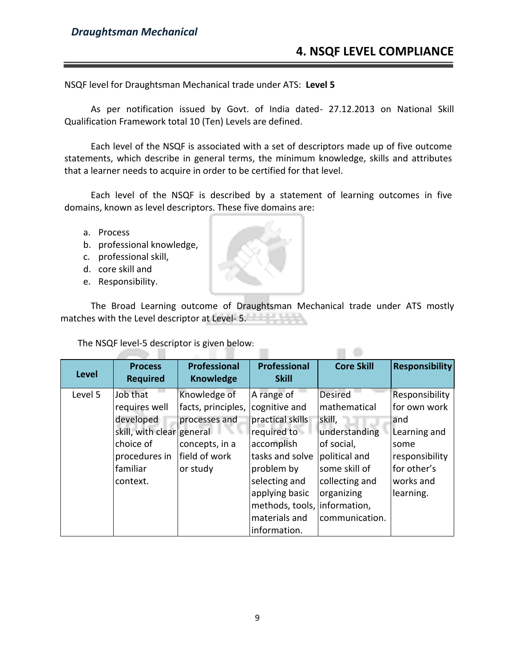NSQF level for Draughtsman Mechanical trade under ATS: **Level 5**

As per notification issued by Govt. of India dated- 27.12.2013 on National Skill Qualification Framework total 10 (Ten) Levels are defined.

Each level of the NSQF is associated with a set of descriptors made up of five outcome statements, which describe in general terms, the minimum knowledge, skills and attributes that a learner needs to acquire in order to be certified for that level.

Each level of the NSQF is described by a statement of learning outcomes in five domains, known as level descriptors. These five domains are:

- a. Process
- b. professional knowledge,
- c. professional skill,
- d. core skill and
- e. Responsibility.

The Broad Learning outcome of Draughtsman Mechanical trade under ATS mostly matches with the Level descriptor at Level-5.

 $\Box$   $\Diamond$ 

The NSQF level-5 descriptor is given below:

| <b>Level</b> | <b>Process</b>            | <b>Professional</b> | <b>Professional</b>          | <b>Core Skill</b> | <b>Responsibility</b> |
|--------------|---------------------------|---------------------|------------------------------|-------------------|-----------------------|
|              | <b>Required</b>           | <b>Knowledge</b>    | <b>Skill</b>                 |                   |                       |
| Level 5      | Job that                  | Knowledge of        | A range of                   | <b>Desired</b>    | Responsibility        |
|              | requires well             | facts, principles,  | cognitive and                | mathematical      | for own work          |
|              | developed                 | processes and       | practical skills             | skill,            | and                   |
|              | skill, with clear general |                     | required to                  | understanding     | Learning and          |
|              | choice of                 | concepts, in a      | accomplish                   | of social,        | some                  |
|              | procedures in             | field of work       | tasks and solve              | political and     | responsibility        |
|              | familiar                  | or study            | problem by                   | some skill of     | for other's           |
|              | context.                  |                     | selecting and                | collecting and    | works and             |
|              |                           |                     | applying basic               | organizing        | learning.             |
|              |                           |                     | methods, tools, information, |                   |                       |
|              |                           |                     | materials and                | communication.    |                       |
|              |                           |                     | information.                 |                   |                       |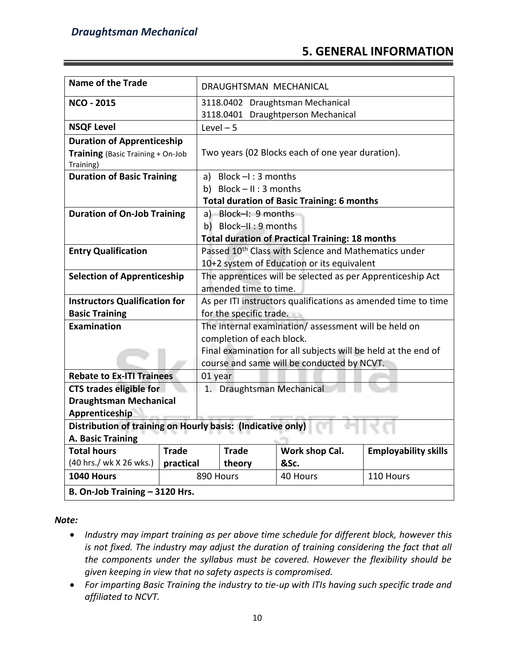### **5. GENERAL INFORMATION**

| <b>Name of the Trade</b>                                    |              | DRAUGHTSMAN MECHANICAL                                                 |                            |                                                                  |                             |
|-------------------------------------------------------------|--------------|------------------------------------------------------------------------|----------------------------|------------------------------------------------------------------|-----------------------------|
| <b>NCO - 2015</b>                                           |              | 3118.0402 Draughtsman Mechanical<br>3118.0401 Draughtperson Mechanical |                            |                                                                  |                             |
| <b>NSQF Level</b>                                           |              | $Level - 5$                                                            |                            |                                                                  |                             |
| <b>Duration of Apprenticeship</b>                           |              |                                                                        |                            |                                                                  |                             |
| Training (Basic Training + On-Job<br>Training)              |              |                                                                        |                            | Two years (02 Blocks each of one year duration).                 |                             |
| <b>Duration of Basic Training</b>                           |              |                                                                        | a) Block $-I$ : 3 months   |                                                                  |                             |
|                                                             |              |                                                                        | b) Block $-$ II : 3 months |                                                                  |                             |
|                                                             |              |                                                                        |                            | <b>Total duration of Basic Training: 6 months</b>                |                             |
| <b>Duration of On-Job Training</b>                          |              |                                                                        | a) Block-I: 9 months       |                                                                  |                             |
|                                                             |              |                                                                        | b) Block-II: 9 months      |                                                                  |                             |
|                                                             |              |                                                                        |                            | <b>Total duration of Practical Training: 18 months</b>           |                             |
| <b>Entry Qualification</b>                                  |              |                                                                        |                            | Passed 10 <sup>th</sup> Class with Science and Mathematics under |                             |
|                                                             |              | 10+2 system of Education or its equivalent                             |                            |                                                                  |                             |
| <b>Selection of Apprenticeship</b>                          |              | The apprentices will be selected as per Apprenticeship Act             |                            |                                                                  |                             |
|                                                             |              | amended time to time.                                                  |                            |                                                                  |                             |
| <b>Instructors Qualification for</b>                        |              | As per ITI instructors qualifications as amended time to time          |                            |                                                                  |                             |
| <b>Basic Training</b>                                       |              | for the specific trade.                                                |                            |                                                                  |                             |
| <b>Examination</b>                                          |              | The internal examination/assessment will be held on                    |                            |                                                                  |                             |
|                                                             |              | completion of each block.                                              |                            |                                                                  |                             |
|                                                             |              | Final examination for all subjects will be held at the end of          |                            |                                                                  |                             |
|                                                             |              | course and same will be conducted by NCVT.                             |                            |                                                                  |                             |
| <b>Rebate to Ex-ITI Trainees</b>                            |              | 01 year                                                                |                            |                                                                  |                             |
| <b>CTS trades eligible for</b>                              |              |                                                                        |                            | 1. Draughtsman Mechanical                                        |                             |
| <b>Draughtsman Mechanical</b>                               |              |                                                                        |                            |                                                                  |                             |
| Apprenticeship                                              |              |                                                                        |                            |                                                                  |                             |
| Distribution of training on Hourly basis: (Indicative only) |              |                                                                        |                            |                                                                  |                             |
| A. Basic Training                                           |              |                                                                        |                            |                                                                  |                             |
| <b>Total hours</b>                                          | <b>Trade</b> |                                                                        | <b>Trade</b>               | Work shop Cal.                                                   | <b>Employability skills</b> |
| (40 hrs./ wk X 26 wks.)                                     | practical    |                                                                        | theory                     | &Sc.                                                             |                             |
| 1040 Hours                                                  |              | 890 Hours                                                              |                            | 40 Hours                                                         | 110 Hours                   |
| B. On-Job Training - 3120 Hrs.                              |              |                                                                        |                            |                                                                  |                             |

*Note:*

- *Industry may impart training as per above time schedule for different block, however this is not fixed. The industry may adjust the duration of training considering the fact that all the components under the syllabus must be covered. However the flexibility should be given keeping in view that no safety aspects is compromised.*
- *For imparting Basic Training the industry to tie-up with ITIs having such specific trade and affiliated to NCVT.*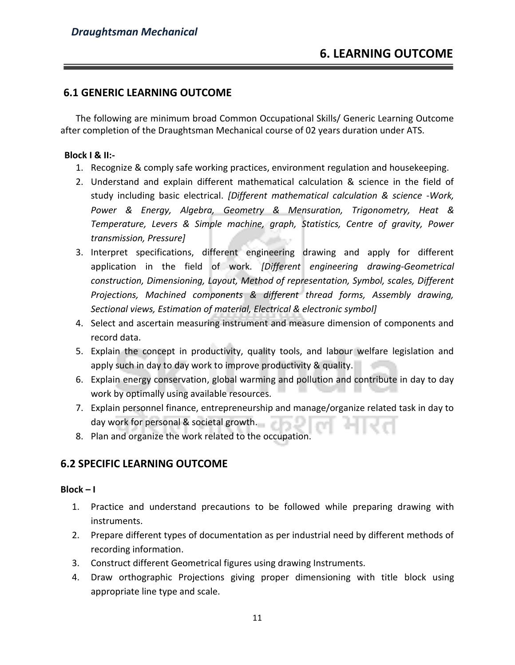#### **6.1 GENERIC LEARNING OUTCOME**

The following are minimum broad Common Occupational Skills/ Generic Learning Outcome after completion of the Draughtsman Mechanical course of 02 years duration under ATS.

#### **Block I & II:-**

- 1. Recognize & comply safe working practices, environment regulation and housekeeping.
- 2. Understand and explain different mathematical calculation & science in the field of study including basic electrical. *[Different mathematical calculation & science -Work, Power & Energy, Algebra, Geometry & Mensuration, Trigonometry, Heat & Temperature, Levers & Simple machine, graph, Statistics, Centre of gravity, Power transmission, Pressure]*
- 3. Interpret specifications, different engineering drawing and apply for different application in the field of work. *[Different engineering drawing-Geometrical construction, Dimensioning, Layout, Method of representation, Symbol, scales, Different Projections, Machined components & different thread forms, Assembly drawing, Sectional views, Estimation of material, Electrical & electronic symbol]*
- 4. Select and ascertain measuring instrument and measure dimension of components and record data.
- 5. Explain the concept in productivity, quality tools, and labour welfare legislation and apply such in day to day work to improve productivity & quality.
- 6. Explain energy conservation, global warming and pollution and contribute in day to day work by optimally using available resources.
- 7. Explain personnel finance, entrepreneurship and manage/organize related task in day to day work for personal & societal growth.
- 8. Plan and organize the work related to the occupation.

#### **6.2 SPECIFIC LEARNING OUTCOME**

#### **Block – I**

- 1. Practice and understand precautions to be followed while preparing drawing with instruments.
- 2. Prepare different types of documentation as per industrial need by different methods of recording information.
- 3. Construct different Geometrical figures using drawing Instruments.
- 4. Draw orthographic Projections giving proper dimensioning with title block using appropriate line type and scale.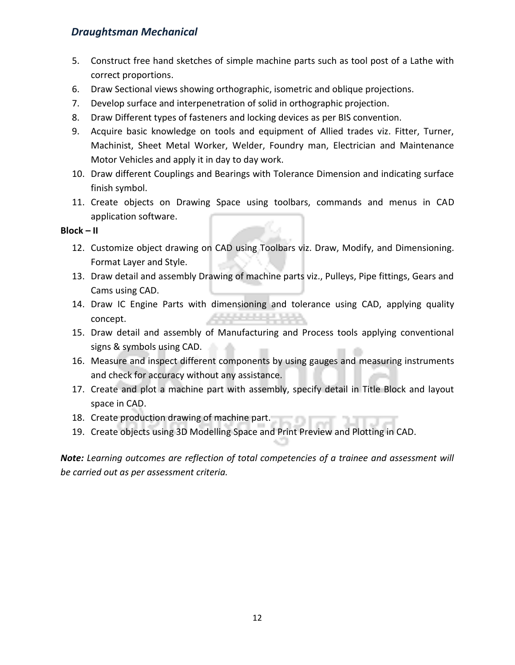- 5. Construct free hand sketches of simple machine parts such as tool post of a Lathe with correct proportions.
- 6. Draw Sectional views showing orthographic, isometric and oblique projections.
- 7. Develop surface and interpenetration of solid in orthographic projection.
- 8. Draw Different types of fasteners and locking devices as per BIS convention.
- 9. Acquire basic knowledge on tools and equipment of Allied trades viz. Fitter, Turner, Machinist, Sheet Metal Worker, Welder, Foundry man, Electrician and Maintenance Motor Vehicles and apply it in day to day work.
- 10. Draw different Couplings and Bearings with Tolerance Dimension and indicating surface finish symbol.
- 11. Create objects on Drawing Space using toolbars, commands and menus in CAD application software.

#### **Block – II**

- 12. Customize object drawing on CAD using Toolbars viz. Draw, Modify, and Dimensioning. Format Layer and Style.
- 13. Draw detail and assembly Drawing of machine parts viz., Pulleys, Pipe fittings, Gears and Cams using CAD.
- 14. Draw IC Engine Parts with dimensioning and tolerance using CAD, applying quality concept.
- 15. Draw detail and assembly of Manufacturing and Process tools applying conventional signs & symbols using CAD.
- 16. Measure and inspect different components by using gauges and measuring instruments and check for accuracy without any assistance.
- 17. Create and plot a machine part with assembly, specify detail in Title Block and layout space in CAD.
- 18. Create production drawing of machine part.
- 19. Create objects using 3D Modelling Space and Print Preview and Plotting in CAD.

*Note: Learning outcomes are reflection of total competencies of a trainee and assessment will be carried out as per assessment criteria.*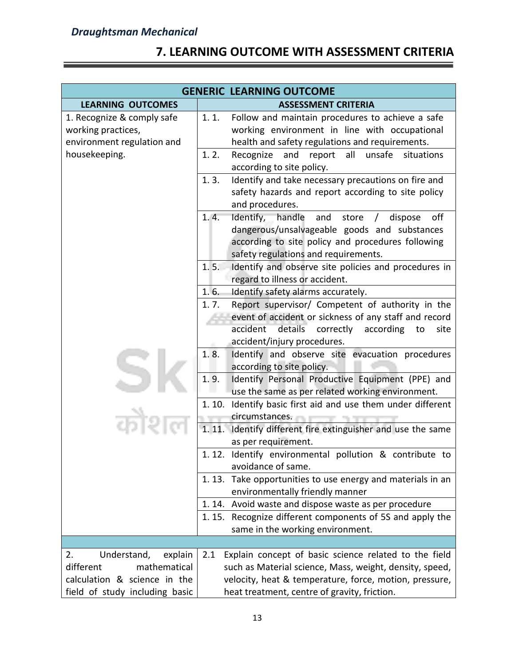## **7. LEARNING OUTCOME WITH ASSESSMENT CRITERIA**

|                                                                                | <b>GENERIC LEARNING OUTCOME</b>                                                                                                                                                                           |
|--------------------------------------------------------------------------------|-----------------------------------------------------------------------------------------------------------------------------------------------------------------------------------------------------------|
| <b>LEARNING OUTCOMES</b>                                                       | <b>ASSESSMENT CRITERIA</b>                                                                                                                                                                                |
| 1. Recognize & comply safe<br>working practices,<br>environment regulation and | 1.1.<br>Follow and maintain procedures to achieve a safe<br>working environment in line with occupational<br>health and safety regulations and requirements.                                              |
| housekeeping.                                                                  | and<br>all<br>unsafe<br>1.2.<br>Recognize<br>report<br>situations<br>according to site policy.                                                                                                            |
|                                                                                | 1.3.<br>Identify and take necessary precautions on fire and<br>safety hazards and report according to site policy<br>and procedures.                                                                      |
|                                                                                | Identify, handle and store /<br>1.4.<br>dispose<br>off<br>dangerous/unsalvageable goods and substances<br>according to site policy and procedures following<br>safety regulations and requirements.       |
|                                                                                | Identify and observe site policies and procedures in<br>1.5.<br>regard to illness or accident.                                                                                                            |
|                                                                                | 1.6.<br>Identify safety alarms accurately.                                                                                                                                                                |
|                                                                                | 1.7.<br>Report supervisor/ Competent of authority in the<br>event of accident or sickness of any staff and record<br>accident<br>details correctly according<br>to<br>site<br>accident/injury procedures. |
|                                                                                | 1.8.<br>Identify and observe site evacuation procedures<br>according to site policy.                                                                                                                      |
|                                                                                | 1.9.<br>Identify Personal Productive Equipment (PPE) and<br>use the same as per related working environment.                                                                                              |
|                                                                                | 1.10. Identify basic first aid and use them under different<br>circumstances.                                                                                                                             |
|                                                                                | 1.11.<br>Identify different fire extinguisher and use the same<br>as per requirement.                                                                                                                     |
|                                                                                | 1.12. Identify environmental pollution & contribute to<br>avoidance of same.                                                                                                                              |
|                                                                                | 1.13. Take opportunities to use energy and materials in an<br>environmentally friendly manner                                                                                                             |
|                                                                                | 1.14. Avoid waste and dispose waste as per procedure                                                                                                                                                      |
|                                                                                | 1.15. Recognize different components of 5S and apply the<br>same in the working environment.                                                                                                              |
|                                                                                |                                                                                                                                                                                                           |
| 2.<br>Understand,<br>explain                                                   | Explain concept of basic science related to the field<br>2.1                                                                                                                                              |
| different<br>mathematical                                                      | such as Material science, Mass, weight, density, speed,                                                                                                                                                   |
| calculation & science in the                                                   | velocity, heat & temperature, force, motion, pressure,                                                                                                                                                    |
| field of study including basic                                                 | heat treatment, centre of gravity, friction.                                                                                                                                                              |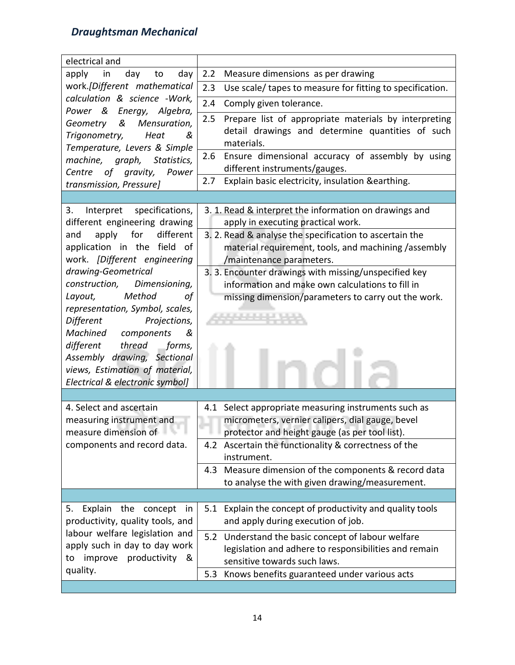| electrical and                                                     |                                                                                                          |
|--------------------------------------------------------------------|----------------------------------------------------------------------------------------------------------|
| apply<br>day<br>day<br>in<br>to                                    | 2.2<br>Measure dimensions as per drawing                                                                 |
| work.[Different mathematical                                       | 2.3<br>Use scale/ tapes to measure for fitting to specification.                                         |
| calculation & science -Work,                                       | 2.4<br>Comply given tolerance.                                                                           |
| Power &<br>Energy, Algebra,<br>&<br>Mensuration,<br>Geometry       | 2.5<br>Prepare list of appropriate materials by interpreting                                             |
| Trigonometry,<br>Heat<br>&                                         | detail drawings and determine quantities of such                                                         |
| Temperature, Levers & Simple                                       | materials.                                                                                               |
| machine, graph, Statistics,                                        | Ensure dimensional accuracy of assembly by using<br>$2.6\,$                                              |
| Centre of gravity,<br>Power                                        | different instruments/gauges.<br>Explain basic electricity, insulation & earthing.<br>2.7                |
| transmission, Pressure]                                            |                                                                                                          |
| 3.                                                                 |                                                                                                          |
| Interpret<br>specifications,<br>different engineering drawing      | 3. 1. Read & interpret the information on drawings and<br>apply in executing practical work.             |
| apply<br>for<br>different<br>and                                   | 3. 2. Read & analyse the specification to ascertain the                                                  |
| application in the field of                                        | material requirement, tools, and machining /assembly                                                     |
| work. [Different engineering                                       | /maintenance parameters.                                                                                 |
| drawing-Geometrical                                                | 3. 3. Encounter drawings with missing/unspecified key                                                    |
| construction,<br>Dimensioning,                                     | information and make own calculations to fill in                                                         |
| Method<br>Layout,<br>οf                                            | missing dimension/parameters to carry out the work.                                                      |
| representation, Symbol, scales,<br>Different<br>Projections,       |                                                                                                          |
| Machined components<br>&                                           |                                                                                                          |
| different<br>thread<br>forms,                                      |                                                                                                          |
| Assembly drawing, Sectional                                        |                                                                                                          |
| views, Estimation of material,                                     |                                                                                                          |
| Electrical & electronic symbol]                                    |                                                                                                          |
|                                                                    |                                                                                                          |
| 4. Select and ascertain<br>measuring instrument and                | 4.1 Select appropriate measuring instruments such as<br>micrometers, vernier calipers, dial gauge, bevel |
| measure dimension of                                               | protector and height gauge (as per tool list).                                                           |
| components and record data.                                        | 4.2 Ascertain the functionality & correctness of the                                                     |
|                                                                    | instrument.                                                                                              |
|                                                                    | Measure dimension of the components & record data<br>4.3                                                 |
|                                                                    | to analyse the with given drawing/measurement.                                                           |
|                                                                    |                                                                                                          |
| Explain the<br>concept<br>5.<br>in                                 | Explain the concept of productivity and quality tools<br>5.1                                             |
| productivity, quality tools, and<br>labour welfare legislation and | and apply during execution of job.                                                                       |
| apply such in day to day work                                      | 5.2<br>Understand the basic concept of labour welfare                                                    |
| productivity<br>improve<br>&<br>to                                 | legislation and adhere to responsibilities and remain<br>sensitive towards such laws.                    |
| quality.                                                           | Knows benefits guaranteed under various acts<br>5.3                                                      |
|                                                                    |                                                                                                          |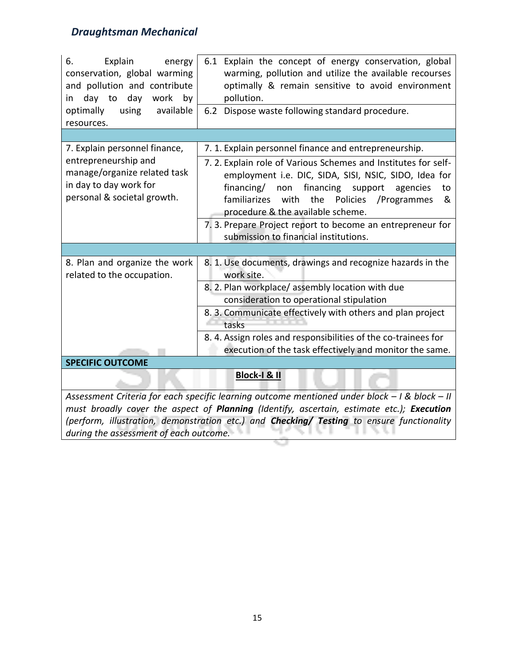| Explain<br>6.<br>energy<br>conservation, global warming<br>and pollution and contribute<br>day work<br>by<br>day to<br>in<br>optimally<br>using<br>available<br>resources. | 6.1 Explain the concept of energy conservation, global<br>warming, pollution and utilize the available recourses<br>optimally & remain sensitive to avoid environment<br>pollution.<br>Dispose waste following standard procedure.<br>6.2                                                                                                                                                        |  |  |  |
|----------------------------------------------------------------------------------------------------------------------------------------------------------------------------|--------------------------------------------------------------------------------------------------------------------------------------------------------------------------------------------------------------------------------------------------------------------------------------------------------------------------------------------------------------------------------------------------|--|--|--|
|                                                                                                                                                                            |                                                                                                                                                                                                                                                                                                                                                                                                  |  |  |  |
| 7. Explain personnel finance,                                                                                                                                              | 7. 1. Explain personnel finance and entrepreneurship.                                                                                                                                                                                                                                                                                                                                            |  |  |  |
| entrepreneurship and<br>manage/organize related task<br>in day to day work for<br>personal & societal growth.                                                              | 7.2. Explain role of Various Schemes and Institutes for self-<br>employment i.e. DIC, SIDA, SISI, NSIC, SIDO, Idea for<br>financing/<br>non<br>financing<br>support<br>agencies<br>to<br>familiarizes<br>with<br>the<br>Policies<br>/Programmes<br>&<br>procedure & the available scheme.<br>7. 3. Prepare Project report to become an entrepreneur for<br>submission to financial institutions. |  |  |  |
|                                                                                                                                                                            |                                                                                                                                                                                                                                                                                                                                                                                                  |  |  |  |
| 8. Plan and organize the work<br>related to the occupation.                                                                                                                | 8. 1. Use documents, drawings and recognize hazards in the<br>work site.<br>8. 2. Plan workplace/assembly location with due                                                                                                                                                                                                                                                                      |  |  |  |
|                                                                                                                                                                            | consideration to operational stipulation                                                                                                                                                                                                                                                                                                                                                         |  |  |  |
|                                                                                                                                                                            | 8. 3. Communicate effectively with others and plan project<br>tasks                                                                                                                                                                                                                                                                                                                              |  |  |  |
|                                                                                                                                                                            | 8.4. Assign roles and responsibilities of the co-trainees for<br>execution of the task effectively and monitor the same.                                                                                                                                                                                                                                                                         |  |  |  |
| <b>SPECIFIC OUTCOME</b>                                                                                                                                                    |                                                                                                                                                                                                                                                                                                                                                                                                  |  |  |  |
|                                                                                                                                                                            | <b>Block-I &amp; II</b>                                                                                                                                                                                                                                                                                                                                                                          |  |  |  |
| Assessment Criteria for each specific learning outcome mentioned under block - I & block - II                                                                              |                                                                                                                                                                                                                                                                                                                                                                                                  |  |  |  |
| must broadly cover the aspect of Planning (Identify, ascertain, estimate etc.); Execution                                                                                  |                                                                                                                                                                                                                                                                                                                                                                                                  |  |  |  |
|                                                                                                                                                                            | (perform, illustration, demonstration etc.) and Checking/ Testing to ensure functionality                                                                                                                                                                                                                                                                                                        |  |  |  |
| during the assessment of each outcome.                                                                                                                                     |                                                                                                                                                                                                                                                                                                                                                                                                  |  |  |  |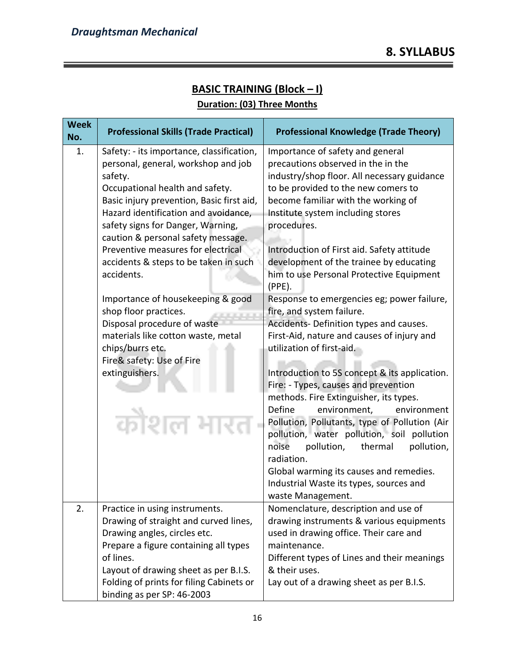| <b>Week</b><br>No.                                                                                                                                                                                                                                             | <b>Professional Skills (Trade Practical)</b>                                                                                                                                                                                                                                                                                                                                                | <b>Professional Knowledge (Trade Theory)</b>                                                                                                                                                                                                                                                                                                                                                                                                                                     |
|----------------------------------------------------------------------------------------------------------------------------------------------------------------------------------------------------------------------------------------------------------------|---------------------------------------------------------------------------------------------------------------------------------------------------------------------------------------------------------------------------------------------------------------------------------------------------------------------------------------------------------------------------------------------|----------------------------------------------------------------------------------------------------------------------------------------------------------------------------------------------------------------------------------------------------------------------------------------------------------------------------------------------------------------------------------------------------------------------------------------------------------------------------------|
| 1.                                                                                                                                                                                                                                                             | Safety: - its importance, classification,<br>personal, general, workshop and job<br>safety.<br>Occupational health and safety.<br>Basic injury prevention, Basic first aid,<br>Hazard identification and avoidance,<br>safety signs for Danger, Warning,<br>caution & personal safety message.<br>Preventive measures for electrical<br>accidents & steps to be taken in such<br>accidents. | Importance of safety and general<br>precautions observed in the in the<br>industry/shop floor. All necessary guidance<br>to be provided to the new comers to<br>become familiar with the working of<br>Institute system including stores<br>procedures.<br>Introduction of First aid. Safety attitude<br>development of the trainee by educating<br>him to use Personal Protective Equipment                                                                                     |
| $(PPE)$ .<br>Importance of housekeeping & good<br>shop floor practices.<br>Disposal procedure of waste<br>materials like cotton waste, metal<br>utilization of first-aid.<br>chips/burrs etc.<br>Fire& safety: Use of Fire<br>extinguishers.<br>Define<br>कोशल |                                                                                                                                                                                                                                                                                                                                                                                             | Response to emergencies eg; power failure,<br>fire, and system failure.<br>Accidents-Definition types and causes.<br>First-Aid, nature and causes of injury and<br>Introduction to 5S concept & its application.<br>Fire: - Types, causes and prevention<br>methods. Fire Extinguisher, its types.<br>environment,<br>environment<br>Pollution, Pollutants, type of Pollution (Air<br>pollution, water pollution, soil pollution<br>noise<br>pollution,<br>thermal<br>pollution, |
|                                                                                                                                                                                                                                                                |                                                                                                                                                                                                                                                                                                                                                                                             | radiation.<br>Global warming its causes and remedies.<br>Industrial Waste its types, sources and<br>waste Management.                                                                                                                                                                                                                                                                                                                                                            |
| 2.                                                                                                                                                                                                                                                             | Practice in using instruments.<br>Drawing of straight and curved lines,<br>Drawing angles, circles etc.<br>Prepare a figure containing all types                                                                                                                                                                                                                                            | Nomenclature, description and use of<br>drawing instruments & various equipments<br>used in drawing office. Their care and<br>maintenance.                                                                                                                                                                                                                                                                                                                                       |
|                                                                                                                                                                                                                                                                | of lines.<br>Layout of drawing sheet as per B.I.S.<br>Folding of prints for filing Cabinets or<br>binding as per SP: 46-2003                                                                                                                                                                                                                                                                | Different types of Lines and their meanings<br>& their uses.<br>Lay out of a drawing sheet as per B.I.S.                                                                                                                                                                                                                                                                                                                                                                         |

# **BASIC TRAINING (Block – I)**

#### **Duration: (03) Three Months**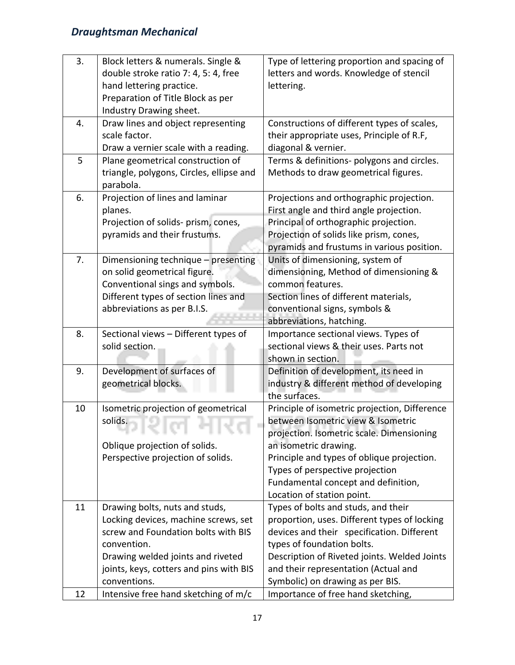| 3. | Block letters & numerals. Single &                                            | Type of lettering proportion and spacing of                                        |
|----|-------------------------------------------------------------------------------|------------------------------------------------------------------------------------|
|    | double stroke ratio 7: 4, 5: 4, free                                          | letters and words. Knowledge of stencil                                            |
|    | hand lettering practice.                                                      | lettering.                                                                         |
|    | Preparation of Title Block as per                                             |                                                                                    |
| 4. | Industry Drawing sheet.                                                       |                                                                                    |
|    | Draw lines and object representing<br>scale factor.                           | Constructions of different types of scales,                                        |
|    | Draw a vernier scale with a reading.                                          | their appropriate uses, Principle of R.F,                                          |
| 5  |                                                                               | diagonal & vernier.                                                                |
|    | Plane geometrical construction of<br>triangle, polygons, Circles, ellipse and | Terms & definitions- polygons and circles.<br>Methods to draw geometrical figures. |
|    | parabola.                                                                     |                                                                                    |
| 6. | Projection of lines and laminar                                               | Projections and orthographic projection.                                           |
|    | planes.                                                                       | First angle and third angle projection.                                            |
|    | Projection of solids- prism, cones,                                           | Principal of orthographic projection.                                              |
|    | pyramids and their frustums.                                                  | Projection of solids like prism, cones,                                            |
|    |                                                                               | pyramids and frustums in various position.                                         |
| 7. | Dimensioning technique - presenting                                           | Units of dimensioning, system of                                                   |
|    | on solid geometrical figure.                                                  | dimensioning, Method of dimensioning &                                             |
|    | Conventional sings and symbols.                                               | common features.                                                                   |
|    | Different types of section lines and                                          | Section lines of different materials,                                              |
|    | abbreviations as per B.I.S.                                                   | conventional signs, symbols &                                                      |
|    |                                                                               | abbreviations, hatching.                                                           |
| 8. | Sectional views - Different types of                                          | Importance sectional views. Types of                                               |
|    | solid section.                                                                | sectional views & their uses. Parts not                                            |
|    |                                                                               | shown in section.                                                                  |
| 9. | Development of surfaces of                                                    | Definition of development, its need in                                             |
|    | geometrical blocks.                                                           | industry & different method of developing                                          |
|    |                                                                               | the surfaces.                                                                      |
| 10 | Isometric projection of geometrical                                           | Principle of isometric projection, Difference                                      |
|    | solids.                                                                       | between Isometric view & Isometric                                                 |
|    | 76 H W<br>a a                                                                 | projection. Isometric scale. Dimensioning                                          |
|    | Oblique projection of solids.                                                 | an isometric drawing.                                                              |
|    | Perspective projection of solids.                                             | Principle and types of oblique projection.                                         |
|    |                                                                               | Types of perspective projection                                                    |
|    |                                                                               | Fundamental concept and definition,<br>Location of station point.                  |
|    |                                                                               | Types of bolts and studs, and their                                                |
| 11 | Drawing bolts, nuts and studs,<br>Locking devices, machine screws, set        | proportion, uses. Different types of locking                                       |
|    | screw and Foundation bolts with BIS                                           | devices and their specification. Different                                         |
|    | convention.                                                                   | types of foundation bolts.                                                         |
|    | Drawing welded joints and riveted                                             | Description of Riveted joints. Welded Joints                                       |
|    | joints, keys, cotters and pins with BIS                                       | and their representation (Actual and                                               |
|    | conventions.                                                                  | Symbolic) on drawing as per BIS.                                                   |
| 12 | Intensive free hand sketching of m/c                                          | Importance of free hand sketching,                                                 |
|    |                                                                               |                                                                                    |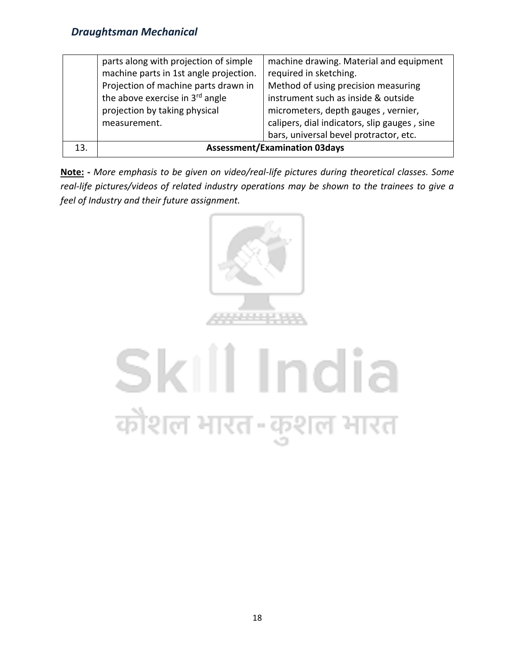|     | parts along with projection of simple<br>machine parts in 1st angle projection.<br>Projection of machine parts drawn in<br>the above exercise in 3rd angle<br>projection by taking physical<br>measurement. | machine drawing. Material and equipment<br>required in sketching.<br>Method of using precision measuring<br>instrument such as inside & outside<br>micrometers, depth gauges, vernier,<br>calipers, dial indicators, slip gauges, sine<br>bars, universal bevel protractor, etc. |
|-----|-------------------------------------------------------------------------------------------------------------------------------------------------------------------------------------------------------------|----------------------------------------------------------------------------------------------------------------------------------------------------------------------------------------------------------------------------------------------------------------------------------|
| 13. | <b>Assessment/Examination 03days</b>                                                                                                                                                                        |                                                                                                                                                                                                                                                                                  |

**Note: -** *More emphasis to be given on video/real-life pictures during theoretical classes. Some real-life pictures/videos of related industry operations may be shown to the trainees to give a feel of Industry and their future assignment.*



# Skill India कोशल भारत-कुशल भारत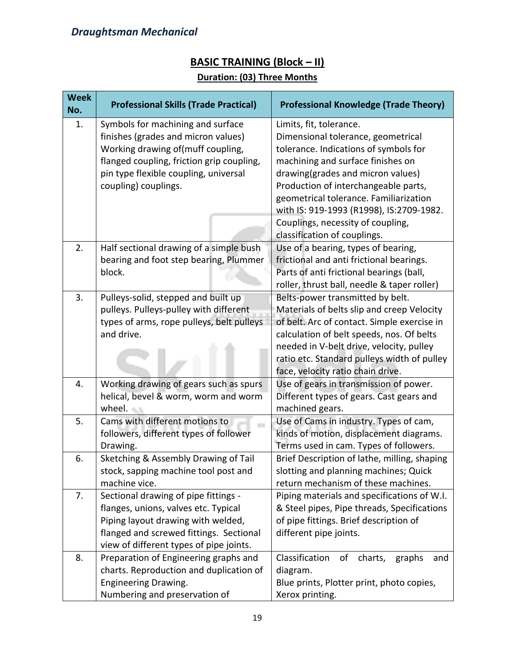### **BASIC TRAINING (Block – II)**

#### **Duration: (03) Three Months**

| <b>Week</b><br>No. | <b>Professional Skills (Trade Practical)</b>                                                                                                                                                                                | <b>Professional Knowledge (Trade Theory)</b>                                                                                                                                                                                                                                                                                                        |  |
|--------------------|-----------------------------------------------------------------------------------------------------------------------------------------------------------------------------------------------------------------------------|-----------------------------------------------------------------------------------------------------------------------------------------------------------------------------------------------------------------------------------------------------------------------------------------------------------------------------------------------------|--|
| 1.                 | Symbols for machining and surface<br>finishes (grades and micron values)<br>Working drawing of(muff coupling,<br>flanged coupling, friction grip coupling,<br>pin type flexible coupling, universal<br>coupling) couplings. | Limits, fit, tolerance.<br>Dimensional tolerance, geometrical<br>tolerance. Indications of symbols for<br>machining and surface finishes on<br>drawing(grades and micron values)<br>Production of interchangeable parts,<br>geometrical tolerance. Familiarization<br>with IS: 919-1993 (R1998), IS:2709-1982.<br>Couplings, necessity of coupling, |  |
|                    |                                                                                                                                                                                                                             | classification of couplings.                                                                                                                                                                                                                                                                                                                        |  |
| 2.                 | Half sectional drawing of a simple bush<br>bearing and foot step bearing, Plummer<br>block.                                                                                                                                 | Use of a bearing, types of bearing,<br>frictional and anti frictional bearings.<br>Parts of anti frictional bearings (ball,<br>roller, thrust ball, needle & taper roller)                                                                                                                                                                          |  |
| 3.                 | Pulleys-solid, stepped and built up<br>pulleys. Pulleys-pulley with different<br>types of arms, rope pulleys, belt pulleys<br>and drive.                                                                                    | Belts-power transmitted by belt.<br>Materials of belts slip and creep Velocity<br>of belt. Arc of contact. Simple exercise in<br>calculation of belt speeds, nos. Of belts<br>needed in V-belt drive, velocity, pulley<br>ratio etc. Standard pulleys width of pulley<br>face, velocity ratio chain drive.                                          |  |
| 4.                 | Working drawing of gears such as spurs<br>helical, bevel & worm, worm and worm<br>wheel.                                                                                                                                    | Use of gears in transmission of power.<br>Different types of gears. Cast gears and<br>machined gears.                                                                                                                                                                                                                                               |  |
| 5.                 | Cams with different motions to<br>Use of Cams in industry. Types of cam,<br>followers, different types of follower<br>kinds of motion, displacement diagrams.<br>Terms used in cam. Types of followers.<br>Drawing.         |                                                                                                                                                                                                                                                                                                                                                     |  |
| 6.                 | Sketching & Assembly Drawing of Tail<br>stock, sapping machine tool post and<br>machine vice.                                                                                                                               | Brief Description of lathe, milling, shaping<br>slotting and planning machines; Quick<br>return mechanism of these machines.                                                                                                                                                                                                                        |  |
| 7.                 | Sectional drawing of pipe fittings -<br>flanges, unions, valves etc. Typical<br>Piping layout drawing with welded,<br>flanged and screwed fittings. Sectional<br>view of different types of pipe joints.                    | Piping materials and specifications of W.I.<br>& Steel pipes, Pipe threads, Specifications<br>of pipe fittings. Brief description of<br>different pipe joints.                                                                                                                                                                                      |  |
| 8.                 | Preparation of Engineering graphs and<br>charts. Reproduction and duplication of<br><b>Engineering Drawing.</b><br>Numbering and preservation of                                                                            | Classification<br>charts,<br>of<br>graphs<br>and<br>diagram.<br>Blue prints, Plotter print, photo copies,<br>Xerox printing.                                                                                                                                                                                                                        |  |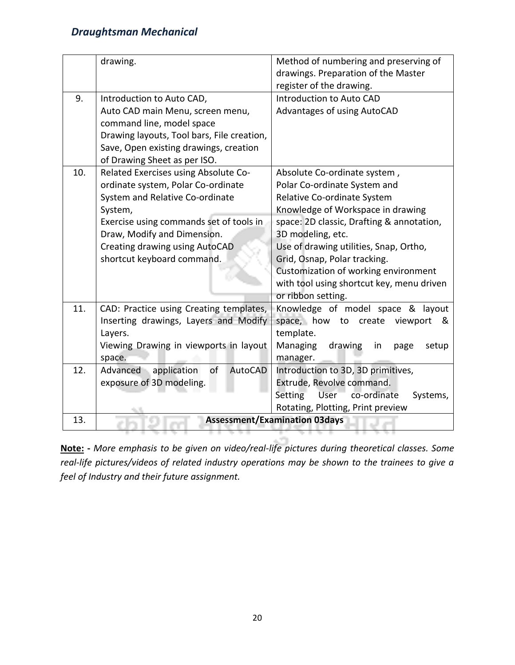|     | drawing.                                   | Method of numbering and preserving of<br>drawings. Preparation of the Master |  |
|-----|--------------------------------------------|------------------------------------------------------------------------------|--|
|     |                                            | register of the drawing.                                                     |  |
| 9.  | Introduction to Auto CAD,                  | Introduction to Auto CAD                                                     |  |
|     | Auto CAD main Menu, screen menu,           | Advantages of using AutoCAD                                                  |  |
|     | command line, model space                  |                                                                              |  |
|     | Drawing layouts, Tool bars, File creation, |                                                                              |  |
|     | Save, Open existing drawings, creation     |                                                                              |  |
|     | of Drawing Sheet as per ISO.               |                                                                              |  |
| 10. | Related Exercises using Absolute Co-       | Absolute Co-ordinate system,                                                 |  |
|     | ordinate system, Polar Co-ordinate         | Polar Co-ordinate System and                                                 |  |
|     | System and Relative Co-ordinate            | Relative Co-ordinate System                                                  |  |
|     | System,                                    | Knowledge of Workspace in drawing                                            |  |
|     | Exercise using commands set of tools in    | space: 2D classic, Drafting & annotation,                                    |  |
|     | Draw, Modify and Dimension.                | 3D modeling, etc.                                                            |  |
|     | Creating drawing using AutoCAD             | Use of drawing utilities, Snap, Ortho,                                       |  |
|     | shortcut keyboard command.                 | Grid, Osnap, Polar tracking.                                                 |  |
|     |                                            | Customization of working environment                                         |  |
|     |                                            | with tool using shortcut key, menu driven                                    |  |
|     |                                            | or ribbon setting.                                                           |  |
| 11. | CAD: Practice using Creating templates,    | Knowledge of model space & layout                                            |  |
|     | Inserting drawings, Layers and Modify      | space, how to<br>create<br>viewport<br>&                                     |  |
|     | Layers.                                    | template.                                                                    |  |
|     | Viewing Drawing in viewports in layout     | drawing<br>Managing<br>in<br>page<br>setup                                   |  |
|     | space.                                     | manager.                                                                     |  |
| 12. | Advanced application<br>of<br>AutoCAD      | Introduction to 3D, 3D primitives,                                           |  |
|     | exposure of 3D modeling.                   | Extrude, Revolve command.                                                    |  |
|     |                                            | co-ordinate<br>Setting<br><b>User</b><br>Systems,                            |  |
|     |                                            | Rotating, Plotting, Print preview                                            |  |
| 13. |                                            | <b>Assessment/Examination 03days</b>                                         |  |
|     |                                            |                                                                              |  |

**Note: -** *More emphasis to be given on video/real-life pictures during theoretical classes. Some real-life pictures/videos of related industry operations may be shown to the trainees to give a feel of Industry and their future assignment.*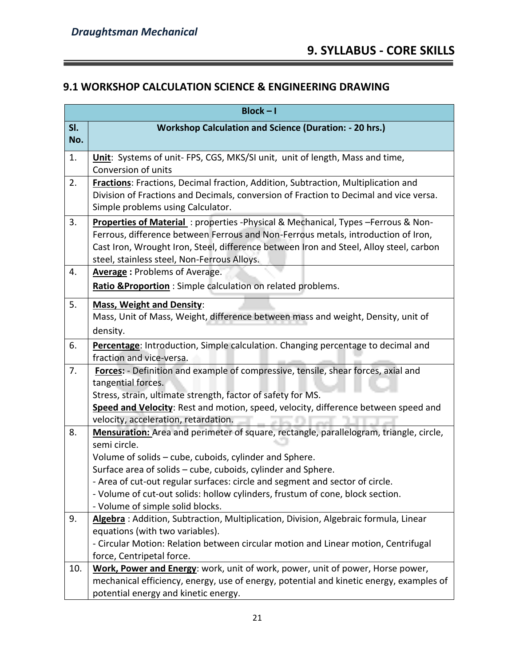=

#### **9.1 WORKSHOP CALCULATION SCIENCE & ENGINEERING DRAWING**

| $Block - I$ |                                                                                                                                                                                                                                                                                                                                                                                                                                       |  |
|-------------|---------------------------------------------------------------------------------------------------------------------------------------------------------------------------------------------------------------------------------------------------------------------------------------------------------------------------------------------------------------------------------------------------------------------------------------|--|
| SI.<br>No.  | <b>Workshop Calculation and Science (Duration: - 20 hrs.)</b>                                                                                                                                                                                                                                                                                                                                                                         |  |
| 1.          | Unit: Systems of unit- FPS, CGS, MKS/SI unit, unit of length, Mass and time,<br>Conversion of units                                                                                                                                                                                                                                                                                                                                   |  |
| 2.          | Fractions: Fractions, Decimal fraction, Addition, Subtraction, Multiplication and<br>Division of Fractions and Decimals, conversion of Fraction to Decimal and vice versa.<br>Simple problems using Calculator.                                                                                                                                                                                                                       |  |
| 3.          | Properties of Material: properties -Physical & Mechanical, Types -Ferrous & Non-<br>Ferrous, difference between Ferrous and Non-Ferrous metals, introduction of Iron,<br>Cast Iron, Wrought Iron, Steel, difference between Iron and Steel, Alloy steel, carbon<br>steel, stainless steel, Non-Ferrous Alloys.                                                                                                                        |  |
| 4.          | <b>Average: Problems of Average.</b><br>Ratio & Proportion: Simple calculation on related problems.                                                                                                                                                                                                                                                                                                                                   |  |
| 5.          | <b>Mass, Weight and Density:</b><br>Mass, Unit of Mass, Weight, difference between mass and weight, Density, unit of<br>density.                                                                                                                                                                                                                                                                                                      |  |
| 6.          | Percentage: Introduction, Simple calculation. Changing percentage to decimal and<br>fraction and vice-versa.                                                                                                                                                                                                                                                                                                                          |  |
| 7.          | Forces: - Definition and example of compressive, tensile, shear forces, axial and<br>tangential forces.<br>Stress, strain, ultimate strength, factor of safety for MS.<br>Speed and Velocity: Rest and motion, speed, velocity, difference between speed and<br>velocity, acceleration, retardation.                                                                                                                                  |  |
| 8.          | Mensuration: Area and perimeter of square, rectangle, parallelogram, triangle, circle,<br>semi circle.<br>Volume of solids - cube, cuboids, cylinder and Sphere.<br>Surface area of solids - cube, cuboids, cylinder and Sphere.<br>- Area of cut-out regular surfaces: circle and segment and sector of circle.<br>- Volume of cut-out solids: hollow cylinders, frustum of cone, block section.<br>- Volume of simple solid blocks. |  |
| 9.          | Algebra: Addition, Subtraction, Multiplication, Division, Algebraic formula, Linear<br>equations (with two variables).<br>- Circular Motion: Relation between circular motion and Linear motion, Centrifugal<br>force, Centripetal force.                                                                                                                                                                                             |  |
| 10.         | Work, Power and Energy: work, unit of work, power, unit of power, Horse power,<br>mechanical efficiency, energy, use of energy, potential and kinetic energy, examples of<br>potential energy and kinetic energy.                                                                                                                                                                                                                     |  |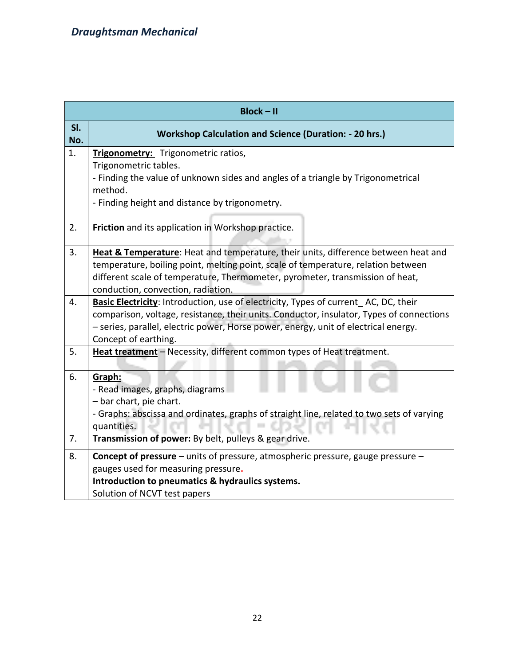| <b>Block-II</b> |                                                                                                                                                                                                                                                                                                |  |
|-----------------|------------------------------------------------------------------------------------------------------------------------------------------------------------------------------------------------------------------------------------------------------------------------------------------------|--|
| SI.<br>No.      | <b>Workshop Calculation and Science (Duration: - 20 hrs.)</b>                                                                                                                                                                                                                                  |  |
| 1.              | Trigonometry: Trigonometric ratios,<br>Trigonometric tables.<br>- Finding the value of unknown sides and angles of a triangle by Trigonometrical<br>method.<br>- Finding height and distance by trigonometry.                                                                                  |  |
| 2.              | Friction and its application in Workshop practice.                                                                                                                                                                                                                                             |  |
| 3.              | Heat & Temperature: Heat and temperature, their units, difference between heat and<br>temperature, boiling point, melting point, scale of temperature, relation between<br>different scale of temperature, Thermometer, pyrometer, transmission of heat,<br>conduction, convection, radiation. |  |
| 4.              | Basic Electricity: Introduction, use of electricity, Types of current AC, DC, their<br>comparison, voltage, resistance, their units. Conductor, insulator, Types of connections<br>- series, parallel, electric power, Horse power, energy, unit of electrical energy.<br>Concept of earthing. |  |
| 5.              | Heat treatment - Necessity, different common types of Heat treatment.                                                                                                                                                                                                                          |  |
| 6.              | Graph:<br>- Read images, graphs, diagrams<br>- bar chart, pie chart.<br>- Graphs: abscissa and ordinates, graphs of straight line, related to two sets of varying<br>quantities.                                                                                                               |  |
| 7.              | Transmission of power: By belt, pulleys & gear drive.                                                                                                                                                                                                                                          |  |
| 8.              | Concept of pressure - units of pressure, atmospheric pressure, gauge pressure -<br>gauges used for measuring pressure.<br>Introduction to pneumatics & hydraulics systems.<br>Solution of NCVT test papers                                                                                     |  |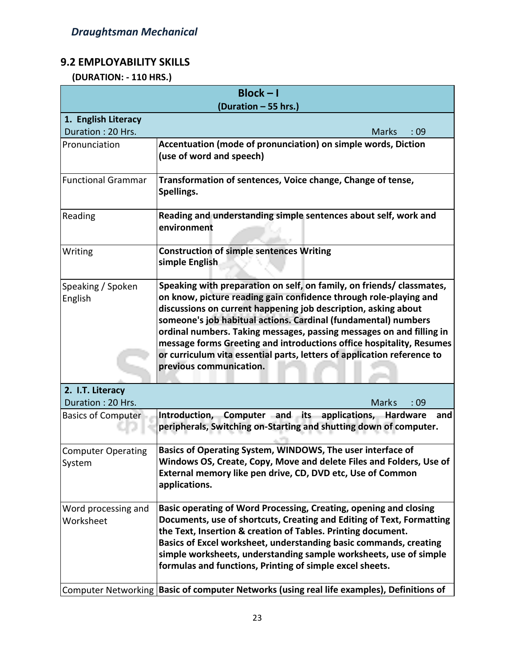#### **9.2 EMPLOYABILITY SKILLS**

 **(DURATION: - 110 HRS.)**

| $Block - I$                           |                                                                                                                                                                                                                                                                                                                                                                                                                                                                                                                                      |  |
|---------------------------------------|--------------------------------------------------------------------------------------------------------------------------------------------------------------------------------------------------------------------------------------------------------------------------------------------------------------------------------------------------------------------------------------------------------------------------------------------------------------------------------------------------------------------------------------|--|
| (Duration - 55 hrs.)                  |                                                                                                                                                                                                                                                                                                                                                                                                                                                                                                                                      |  |
| 1. English Literacy                   |                                                                                                                                                                                                                                                                                                                                                                                                                                                                                                                                      |  |
| Duration: 20 Hrs.                     | <b>Marks</b><br>:09                                                                                                                                                                                                                                                                                                                                                                                                                                                                                                                  |  |
| Pronunciation                         | Accentuation (mode of pronunciation) on simple words, Diction<br>(use of word and speech)                                                                                                                                                                                                                                                                                                                                                                                                                                            |  |
| <b>Functional Grammar</b>             | Transformation of sentences, Voice change, Change of tense,<br>Spellings.                                                                                                                                                                                                                                                                                                                                                                                                                                                            |  |
| Reading                               | Reading and understanding simple sentences about self, work and<br>environment                                                                                                                                                                                                                                                                                                                                                                                                                                                       |  |
| Writing                               | <b>Construction of simple sentences Writing</b><br>simple English                                                                                                                                                                                                                                                                                                                                                                                                                                                                    |  |
| Speaking / Spoken<br>English          | Speaking with preparation on self, on family, on friends/ classmates,<br>on know, picture reading gain confidence through role-playing and<br>discussions on current happening job description, asking about<br>someone's job habitual actions. Cardinal (fundamental) numbers<br>ordinal numbers. Taking messages, passing messages on and filling in<br>message forms Greeting and introductions office hospitality, Resumes<br>or curriculum vita essential parts, letters of application reference to<br>previous communication. |  |
| 2. I.T. Literacy<br>Duration: 20 Hrs. | <b>Marks</b><br>:09                                                                                                                                                                                                                                                                                                                                                                                                                                                                                                                  |  |
| <b>Basics of Computer</b>             | Introduction, Computer and its<br>applications,<br><b>Hardware</b><br>and<br>peripherals, Switching on-Starting and shutting down of computer.                                                                                                                                                                                                                                                                                                                                                                                       |  |
| <b>Computer Operating</b><br>System   | Basics of Operating System, WINDOWS, The user interface of<br>Windows OS, Create, Copy, Move and delete Files and Folders, Use of<br>External memory like pen drive, CD, DVD etc, Use of Common<br>applications.                                                                                                                                                                                                                                                                                                                     |  |
| Word processing and<br>Worksheet      | Basic operating of Word Processing, Creating, opening and closing<br>Documents, use of shortcuts, Creating and Editing of Text, Formatting<br>the Text, Insertion & creation of Tables. Printing document.<br>Basics of Excel worksheet, understanding basic commands, creating<br>simple worksheets, understanding sample worksheets, use of simple<br>formulas and functions, Printing of simple excel sheets.                                                                                                                     |  |
|                                       | Computer Networking Basic of computer Networks (using real life examples), Definitions of                                                                                                                                                                                                                                                                                                                                                                                                                                            |  |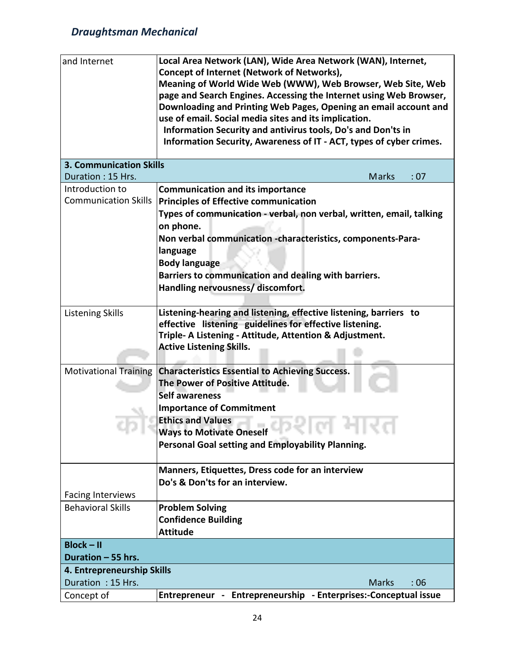| and Internet                   | Local Area Network (LAN), Wide Area Network (WAN), Internet,         |  |  |
|--------------------------------|----------------------------------------------------------------------|--|--|
|                                | <b>Concept of Internet (Network of Networks),</b>                    |  |  |
|                                | Meaning of World Wide Web (WWW), Web Browser, Web Site, Web          |  |  |
|                                | page and Search Engines. Accessing the Internet using Web Browser,   |  |  |
|                                | Downloading and Printing Web Pages, Opening an email account and     |  |  |
|                                | use of email. Social media sites and its implication.                |  |  |
|                                | Information Security and antivirus tools, Do's and Don'ts in         |  |  |
|                                | Information Security, Awareness of IT - ACT, types of cyber crimes.  |  |  |
|                                |                                                                      |  |  |
| <b>3. Communication Skills</b> |                                                                      |  |  |
| Duration: 15 Hrs.              | Marks<br>: 07                                                        |  |  |
| Introduction to                | <b>Communication and its importance</b>                              |  |  |
| <b>Communication Skills</b>    | <b>Principles of Effective communication</b>                         |  |  |
|                                | Types of communication - verbal, non verbal, written, email, talking |  |  |
|                                | on phone.                                                            |  |  |
|                                | Non verbal communication -characteristics, components-Para-          |  |  |
|                                | language                                                             |  |  |
|                                | <b>Body language</b>                                                 |  |  |
|                                | Barriers to communication and dealing with barriers.                 |  |  |
|                                | Handling nervousness/ discomfort.                                    |  |  |
|                                |                                                                      |  |  |
| <b>Listening Skills</b>        | Listening-hearing and listening, effective listening, barriers to    |  |  |
|                                | effective listening guidelines for effective listening.              |  |  |
|                                | Triple- A Listening - Attitude, Attention & Adjustment.              |  |  |
|                                | <b>Active Listening Skills.</b>                                      |  |  |
|                                |                                                                      |  |  |
| <b>Motivational Training</b>   | <b>Characteristics Essential to Achieving Success.</b>               |  |  |
|                                | The Power of Positive Attitude.                                      |  |  |
|                                | <b>Self awareness</b>                                                |  |  |
|                                | <b>Importance of Commitment</b>                                      |  |  |
|                                | <b>Ethics and Values</b>                                             |  |  |
|                                | <b>Ways to Motivate Oneself</b><br>.                                 |  |  |
|                                | Personal Goal setting and Employability Planning.                    |  |  |
|                                |                                                                      |  |  |
|                                | Manners, Etiquettes, Dress code for an interview                     |  |  |
|                                | Do's & Don'ts for an interview.                                      |  |  |
| <b>Facing Interviews</b>       |                                                                      |  |  |
| <b>Behavioral Skills</b>       | <b>Problem Solving</b>                                               |  |  |
|                                | <b>Confidence Building</b>                                           |  |  |
|                                | <b>Attitude</b>                                                      |  |  |
| $Block - II$                   |                                                                      |  |  |
| Duration - 55 hrs.             |                                                                      |  |  |
| 4. Entrepreneurship Skills     |                                                                      |  |  |
| Duration: 15 Hrs.              | <b>Marks</b><br>:06                                                  |  |  |
| Concept of                     | Entrepreneur - Entrepreneurship - Enterprises:-Conceptual issue      |  |  |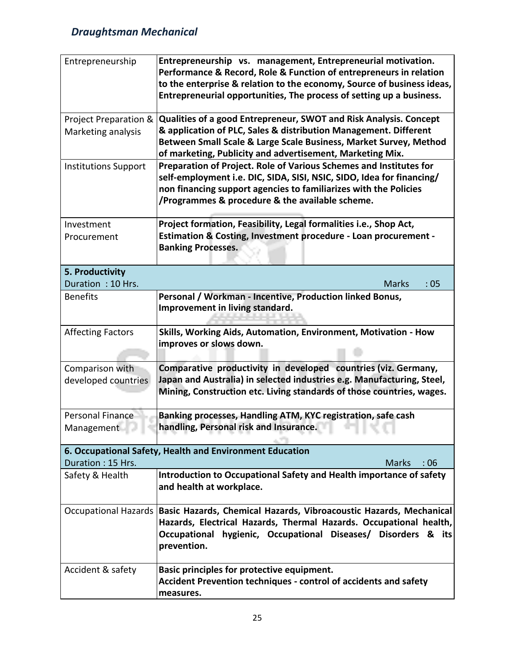| Entrepreneurship                            | Entrepreneurship vs. management, Entrepreneurial motivation.<br>Performance & Record, Role & Function of entrepreneurs in relation<br>to the enterprise & relation to the economy, Source of business ideas,<br>Entrepreneurial opportunities, The process of setting up a business. |  |  |
|---------------------------------------------|--------------------------------------------------------------------------------------------------------------------------------------------------------------------------------------------------------------------------------------------------------------------------------------|--|--|
| Project Preparation &<br>Marketing analysis | Qualities of a good Entrepreneur, SWOT and Risk Analysis. Concept<br>& application of PLC, Sales & distribution Management. Different<br>Between Small Scale & Large Scale Business, Market Survey, Method<br>of marketing, Publicity and advertisement, Marketing Mix.              |  |  |
| <b>Institutions Support</b>                 | Preparation of Project. Role of Various Schemes and Institutes for<br>self-employment i.e. DIC, SIDA, SISI, NSIC, SIDO, Idea for financing/<br>non financing support agencies to familiarizes with the Policies<br>/Programmes & procedure & the available scheme.                   |  |  |
| Investment<br>Procurement                   | Project formation, Feasibility, Legal formalities i.e., Shop Act,<br>Estimation & Costing, Investment procedure - Loan procurement -<br><b>Banking Processes.</b>                                                                                                                    |  |  |
| 5. Productivity<br>Duration: 10 Hrs.        | <b>Marks</b><br>:05                                                                                                                                                                                                                                                                  |  |  |
| <b>Benefits</b>                             | Personal / Workman - Incentive, Production linked Bonus,<br>Improvement in living standard.                                                                                                                                                                                          |  |  |
| <b>Affecting Factors</b>                    | Skills, Working Aids, Automation, Environment, Motivation - How<br>improves or slows down.                                                                                                                                                                                           |  |  |
| Comparison with<br>developed countries      | Comparative productivity in developed countries (viz. Germany,<br>Japan and Australia) in selected industries e.g. Manufacturing, Steel,<br>Mining, Construction etc. Living standards of those countries, wages.                                                                    |  |  |
| Personal Finance<br>Management              | Banking processes, Handling ATM, KYC registration, safe cash<br>handling, Personal risk and Insurance.                                                                                                                                                                               |  |  |
| Duration: 15 Hrs.                           | 6. Occupational Safety, Health and Environment Education<br><b>Marks</b><br>:06                                                                                                                                                                                                      |  |  |
| Safety & Health                             | Introduction to Occupational Safety and Health importance of safety<br>and health at workplace.                                                                                                                                                                                      |  |  |
|                                             | Occupational Hazards   Basic Hazards, Chemical Hazards, Vibroacoustic Hazards, Mechanical<br>Hazards, Electrical Hazards, Thermal Hazards. Occupational health,<br>Occupational hygienic, Occupational Diseases/ Disorders & its<br>prevention.                                      |  |  |
| Accident & safety                           | Basic principles for protective equipment.<br><b>Accident Prevention techniques - control of accidents and safety</b><br>measures.                                                                                                                                                   |  |  |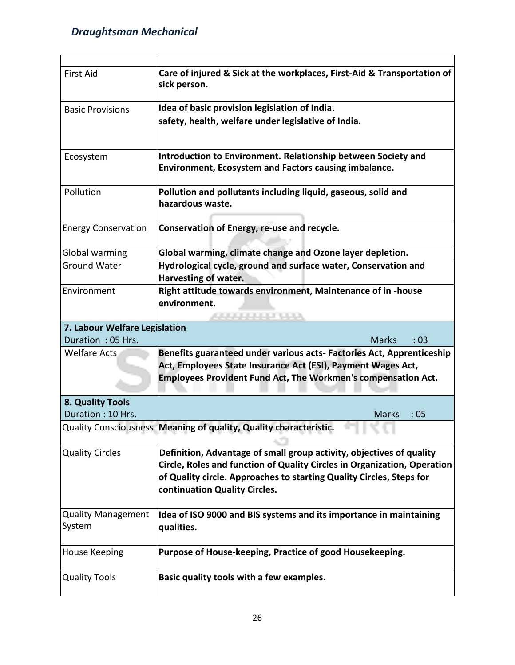| <b>First Aid</b>                    | Care of injured & Sick at the workplaces, First-Aid & Transportation of<br>sick person.                                                                                                                                                                   |
|-------------------------------------|-----------------------------------------------------------------------------------------------------------------------------------------------------------------------------------------------------------------------------------------------------------|
| <b>Basic Provisions</b>             | Idea of basic provision legislation of India.                                                                                                                                                                                                             |
|                                     | safety, health, welfare under legislative of India.                                                                                                                                                                                                       |
| Ecosystem                           | Introduction to Environment. Relationship between Society and<br><b>Environment, Ecosystem and Factors causing imbalance.</b>                                                                                                                             |
| Pollution                           | Pollution and pollutants including liquid, gaseous, solid and<br>hazardous waste.                                                                                                                                                                         |
| <b>Energy Conservation</b>          | Conservation of Energy, re-use and recycle.                                                                                                                                                                                                               |
| Global warming                      | Global warming, climate change and Ozone layer depletion.                                                                                                                                                                                                 |
| <b>Ground Water</b>                 | Hydrological cycle, ground and surface water, Conservation and<br>Harvesting of water.                                                                                                                                                                    |
| Environment                         | Right attitude towards environment, Maintenance of in -house<br>environment.                                                                                                                                                                              |
| 7. Labour Welfare Legislation       |                                                                                                                                                                                                                                                           |
| Duration: 05 Hrs.                   | <b>Marks</b><br>:03                                                                                                                                                                                                                                       |
| <b>Welfare Acts</b>                 | Benefits guaranteed under various acts- Factories Act, Apprenticeship<br>Act, Employees State Insurance Act (ESI), Payment Wages Act,<br>Employees Provident Fund Act, The Workmen's compensation Act.                                                    |
| 8. Quality Tools                    |                                                                                                                                                                                                                                                           |
| Duration: 10 Hrs.                   | <b>Marks</b><br>:05                                                                                                                                                                                                                                       |
|                                     | Quality Consciousness Meaning of quality, Quality characteristic.                                                                                                                                                                                         |
| <b>Quality Circles</b>              | Definition, Advantage of small group activity, objectives of quality<br>Circle, Roles and function of Quality Circles in Organization, Operation<br>of Quality circle. Approaches to starting Quality Circles, Steps for<br>continuation Quality Circles. |
| <b>Quality Management</b><br>System | Idea of ISO 9000 and BIS systems and its importance in maintaining<br>qualities.                                                                                                                                                                          |
| <b>House Keeping</b>                | Purpose of House-keeping, Practice of good Housekeeping.                                                                                                                                                                                                  |
| <b>Quality Tools</b>                | Basic quality tools with a few examples.                                                                                                                                                                                                                  |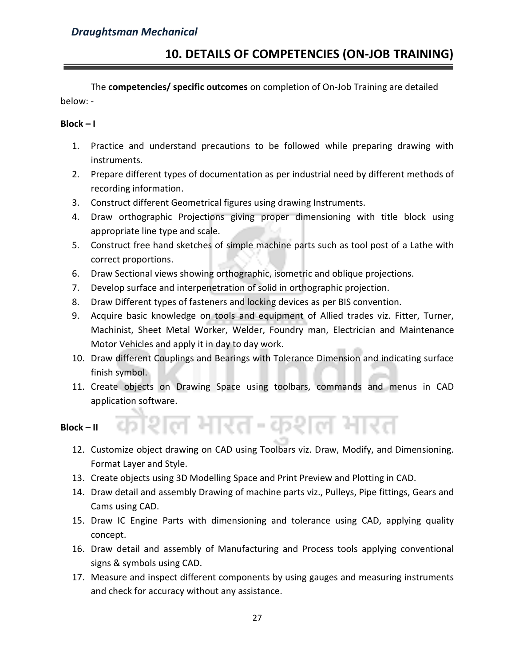The **competencies/ specific outcomes** on completion of On-Job Training are detailed below: -

#### **Block – I**

- 1. Practice and understand precautions to be followed while preparing drawing with instruments.
- 2. Prepare different types of documentation as per industrial need by different methods of recording information.
- 3. Construct different Geometrical figures using drawing Instruments.
- 4. Draw orthographic Projections giving proper dimensioning with title block using appropriate line type and scale.
- 5. Construct free hand sketches of simple machine parts such as tool post of a Lathe with correct proportions.
- 6. Draw Sectional views showing orthographic, isometric and oblique projections.
- 7. Develop surface and interpenetration of solid in orthographic projection.
- 8. Draw Different types of fasteners and locking devices as per BIS convention.
- 9. Acquire basic knowledge on tools and equipment of Allied trades viz. Fitter, Turner, Machinist, Sheet Metal Worker, Welder, Foundry man, Electrician and Maintenance Motor Vehicles and apply it in day to day work.
- 10. Draw different Couplings and Bearings with Tolerance Dimension and indicating surface finish symbol.
- 11. Create objects on Drawing Space using toolbars, commands and menus in CAD application software.

#### **Block – II**

12. Customize object drawing on CAD using Toolbars viz. Draw, Modify, and Dimensioning. Format Layer and Style.

शिल भारत-कशल भारत

- 13. Create objects using 3D Modelling Space and Print Preview and Plotting in CAD.
- 14. Draw detail and assembly Drawing of machine parts viz., Pulleys, Pipe fittings, Gears and Cams using CAD.
- 15. Draw IC Engine Parts with dimensioning and tolerance using CAD, applying quality concept.
- 16. Draw detail and assembly of Manufacturing and Process tools applying conventional signs & symbols using CAD.
- 17. Measure and inspect different components by using gauges and measuring instruments and check for accuracy without any assistance.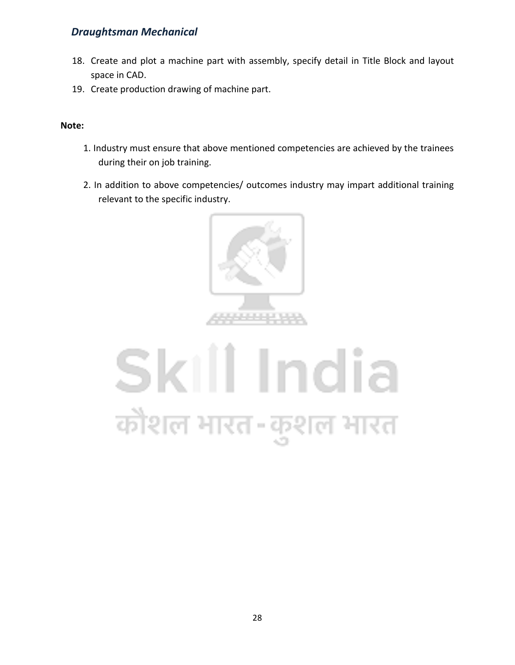- 18. Create and plot a machine part with assembly, specify detail in Title Block and layout space in CAD.
- 19. Create production drawing of machine part.

#### **Note:**

- 1. Industry must ensure that above mentioned competencies are achieved by the trainees during their on job training.
- 2. In addition to above competencies/ outcomes industry may impart additional training relevant to the specific industry.



# Skill India कौशल भारत-कुशल भारत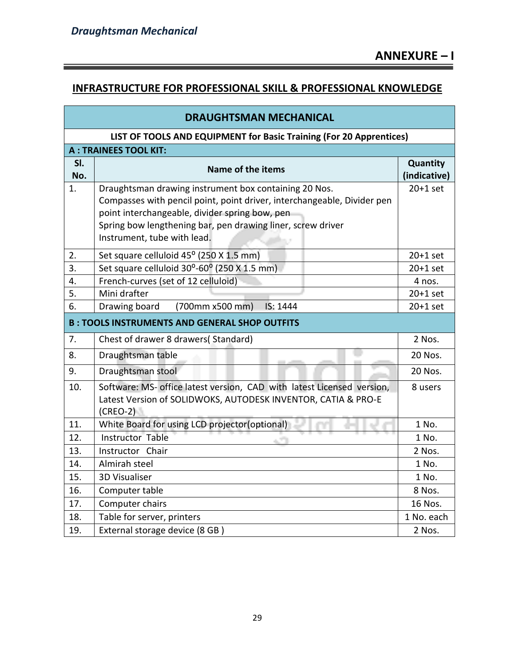÷

#### **INFRASTRUCTURE FOR PROFESSIONAL SKILL & PROFESSIONAL KNOWLEDGE**

| <b>DRAUGHTSMAN MECHANICAL</b>                                       |                                                                                                                                                                                                                                                                                  |                          |
|---------------------------------------------------------------------|----------------------------------------------------------------------------------------------------------------------------------------------------------------------------------------------------------------------------------------------------------------------------------|--------------------------|
| LIST OF TOOLS AND EQUIPMENT for Basic Training (For 20 Apprentices) |                                                                                                                                                                                                                                                                                  |                          |
|                                                                     | <b>A: TRAINEES TOOL KIT:</b>                                                                                                                                                                                                                                                     |                          |
| SI.<br>No.                                                          | Name of the items                                                                                                                                                                                                                                                                | Quantity<br>(indicative) |
| $\mathbf{1}$ .                                                      | Draughtsman drawing instrument box containing 20 Nos.<br>Compasses with pencil point, point driver, interchangeable, Divider pen<br>point interchangeable, divider spring bow, pen<br>Spring bow lengthening bar, pen drawing liner, screw driver<br>Instrument, tube with lead. | $20+1$ set               |
| 2.                                                                  | Set square celluloid 45° (250 X 1.5 mm)                                                                                                                                                                                                                                          | $20+1$ set               |
| 3.                                                                  | Set square celluloid 30°-60° (250 X 1.5 mm)                                                                                                                                                                                                                                      | $20+1$ set               |
| 4.                                                                  | French-curves (set of 12 celluloid)                                                                                                                                                                                                                                              | 4 nos.                   |
| 5.                                                                  | Mini drafter                                                                                                                                                                                                                                                                     | $20+1$ set               |
| 6.                                                                  | IS: 1444<br>Drawing board<br>(700mm x500 mm)                                                                                                                                                                                                                                     | $20+1$ set               |
|                                                                     | <b>B: TOOLS INSTRUMENTS AND GENERAL SHOP OUTFITS</b>                                                                                                                                                                                                                             |                          |
| 7.                                                                  | Chest of drawer 8 drawers(Standard)                                                                                                                                                                                                                                              | 2 Nos.                   |
| 8.                                                                  | Draughtsman table                                                                                                                                                                                                                                                                | 20 Nos.                  |
| 9.                                                                  | Draughtsman stool                                                                                                                                                                                                                                                                | 20 Nos.                  |
| 10.                                                                 | Software: MS- office latest version, CAD with latest Licensed version,<br>Latest Version of SOLIDWOKS, AUTODESK INVENTOR, CATIA & PRO-E<br>$(CREO-2)$                                                                                                                            | 8 users                  |
| 11.                                                                 | White Board for using LCD projector(optional)                                                                                                                                                                                                                                    | 1 No.                    |
| 12.                                                                 | Instructor Table                                                                                                                                                                                                                                                                 | 1 No.                    |
| 13.                                                                 | Instructor Chair                                                                                                                                                                                                                                                                 | 2 Nos.                   |
| 14.                                                                 | Almirah steel                                                                                                                                                                                                                                                                    | 1 No.                    |
| 15.                                                                 | <b>3D Visualiser</b>                                                                                                                                                                                                                                                             | 1 No.                    |
| 16.                                                                 | Computer table                                                                                                                                                                                                                                                                   | 8 Nos.                   |
| 17.                                                                 | Computer chairs                                                                                                                                                                                                                                                                  | 16 Nos.                  |
| 18.                                                                 | Table for server, printers                                                                                                                                                                                                                                                       | 1 No. each               |
| 19.                                                                 | External storage device (8 GB)                                                                                                                                                                                                                                                   | 2 Nos.                   |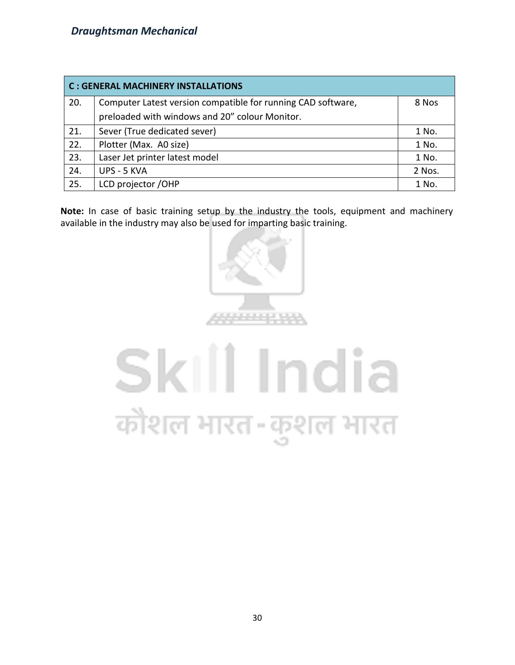| <b>C: GENERAL MACHINERY INSTALLATIONS</b> |                                                              |        |  |  |  |  |  |
|-------------------------------------------|--------------------------------------------------------------|--------|--|--|--|--|--|
| 20.                                       | Computer Latest version compatible for running CAD software, | 8 Nos  |  |  |  |  |  |
|                                           | preloaded with windows and 20" colour Monitor.               |        |  |  |  |  |  |
| 21.                                       | Sever (True dedicated sever)                                 | 1 No.  |  |  |  |  |  |
| 22.                                       | Plotter (Max. A0 size)                                       | 1 No.  |  |  |  |  |  |
| 23.                                       | Laser Jet printer latest model                               | 1 No.  |  |  |  |  |  |
| 24.                                       | UPS - 5 KVA                                                  | 2 Nos. |  |  |  |  |  |
| 25.                                       | LCD projector /OHP                                           | 1 No.  |  |  |  |  |  |

**Note:** In case of basic training setup by the industry the tools, equipment and machinery available in the industry may also be used for imparting basic training.



# Skill India कौशल भारत-कुशल भारत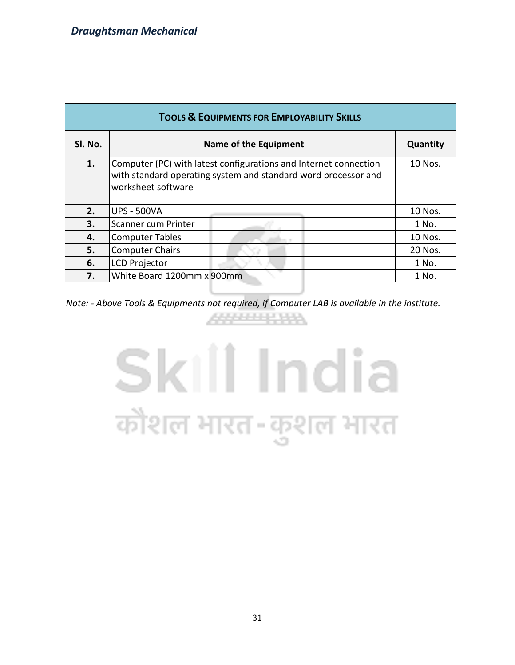| <b>TOOLS &amp; EQUIPMENTS FOR EMPLOYABILITY SKILLS</b> |                                                                                                                                                          |          |  |  |  |  |  |  |  |  |
|--------------------------------------------------------|----------------------------------------------------------------------------------------------------------------------------------------------------------|----------|--|--|--|--|--|--|--|--|
| SI. No.                                                | Name of the Equipment                                                                                                                                    | Quantity |  |  |  |  |  |  |  |  |
| 1.                                                     | Computer (PC) with latest configurations and Internet connection<br>with standard operating system and standard word processor and<br>worksheet software | 10 Nos.  |  |  |  |  |  |  |  |  |
| 2.                                                     | UPS - 500VA                                                                                                                                              | 10 Nos.  |  |  |  |  |  |  |  |  |
| 3.                                                     | Scanner cum Printer                                                                                                                                      | 1 No.    |  |  |  |  |  |  |  |  |
| 4.                                                     | Computer Tables                                                                                                                                          | 10 Nos.  |  |  |  |  |  |  |  |  |
| 5.                                                     | Computer Chairs                                                                                                                                          | 20 Nos.  |  |  |  |  |  |  |  |  |
| 6.                                                     | LCD Projector                                                                                                                                            | 1 No.    |  |  |  |  |  |  |  |  |
| 7.                                                     | White Board 1200mm x 900mm                                                                                                                               | 1 No.    |  |  |  |  |  |  |  |  |
|                                                        |                                                                                                                                                          |          |  |  |  |  |  |  |  |  |

*Note: - Above Tools & Equipments not required, if Computer LAB is available in the institute.*ANNA PARATHER

# Skill India कौशल भारत-कुशल भारत